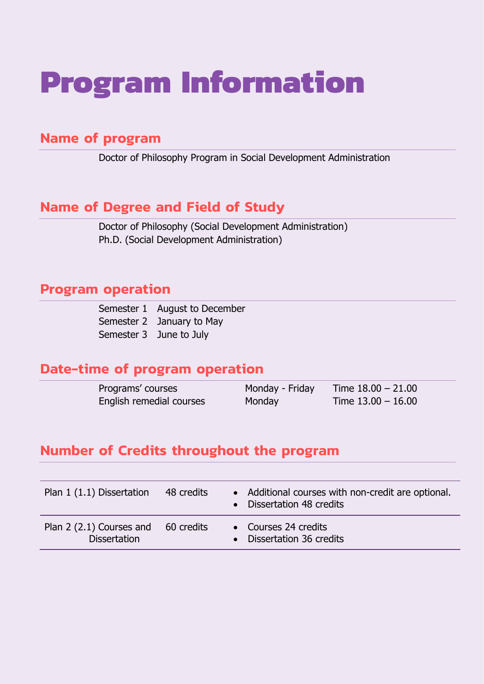# **Program Information**

# **Name of program**

Doctor of Philosophy Program in Social Development Administration

# **Name of Degree and Field of Study**

Doctor of Philosophy (Social Development Administration) Ph.D. (Social Development Administration)

# **Program operation**

| Semester 1 August to December |
|-------------------------------|
| Semester 2 January to May     |
| Semester 3 June to July       |

# **Date-time of program operation**

| Programs' courses        | Monday - Friday | Time $18.00 - 21.00$ |
|--------------------------|-----------------|----------------------|
| English remedial courses | Monday          | Time $13.00 - 16.00$ |

# **Number of Credits throughout the program**

| Plan 1 (1.1) Dissertation                       | 48 credits | • Additional courses with non-credit are optional.<br>• Dissertation 48 credits |
|-------------------------------------------------|------------|---------------------------------------------------------------------------------|
| Plan 2 (2.1) Courses and<br><b>Dissertation</b> | 60 credits | • Courses 24 credits<br>Dissertation 36 credits                                 |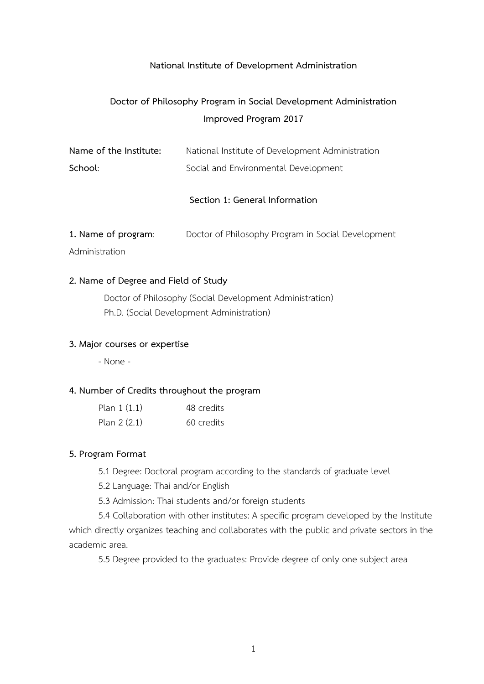### **National Institute of Development Administration**

# **Doctor of Philosophy Program in Social Development Administration Improved Program 2017**

| Name of the Institute: | National Institute of Development Administration |
|------------------------|--------------------------------------------------|
| School:                | Social and Environmental Development             |

### **Section 1: General Information**

**1. Name of program**: Doctor of Philosophy Program in Social Development

Administration

### **2. Name of Degree and Field of Study**

Doctor of Philosophy (Social Development Administration) Ph.D. (Social Development Administration)

### **3. Major courses or expertise**

- None -

### **4. Number of Credits throughout the program**

| Plan $1(1.1)$ | 48 credits |
|---------------|------------|
| Plan $2(2.1)$ | 60 credits |

### **5. Program Format**

5.1 Degree: Doctoral program according to the standards of graduate level

5.2 Language: Thai and/or English

5.3 Admission: Thai students and/or foreign students

5.4 Collaboration with other institutes: A specific program developed by the Institute which directly organizes teaching and collaborates with the public and private sectors in the academic area.

5.5 Degree provided to the graduates: Provide degree of only one subject area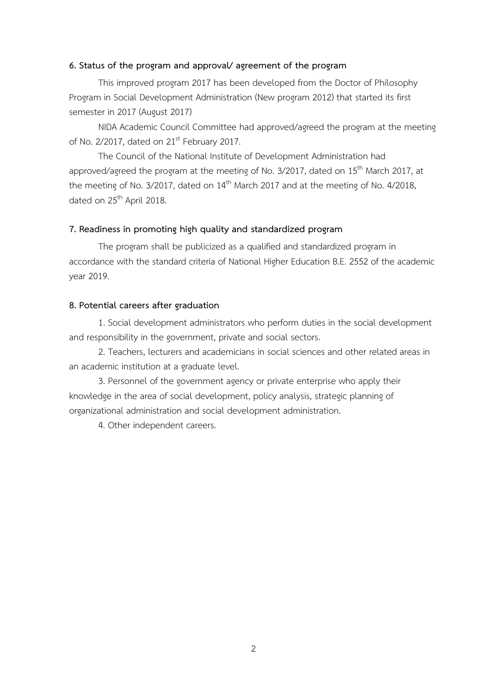### **6. Status of the program and approval/ agreement of the program**

This improved program 2017 has been developed from the Doctor of Philosophy Program in Social Development Administration (New program 2012) that started its first semester in 2017 (August 2017)

NIDA Academic Council Committee had approved/agreed the program at the meeting of No. 2/2017, dated on 21<sup>st</sup> February 2017.

The Council of the National Institute of Development Administration had approved/agreed the program at the meeting of No.  $3/2017$ , dated on  $15<sup>th</sup>$  March 2017, at the meeting of No.  $3/2017$ , dated on  $14<sup>th</sup>$  March 2017 and at the meeting of No.  $4/2018$ , dated on 25<sup>th</sup> April 2018.

### **7. Readiness in promoting high quality and standardized program**

The program shall be publicized as a qualified and standardized program in accordance with the standard criteria of National Higher Education B.E. 2552 of the academic year 2019.

### **8. Potential careers after graduation**

1. Social development administrators who perform duties in the social development and responsibility in the government, private and social sectors.

2. Teachers, lecturers and academicians in social sciences and other related areas in an academic institution at a graduate level.

3. Personnel of the government agency or private enterprise who apply their knowledge in the area of social development, policy analysis, strategic planning of organizational administration and social development administration.

4. Other independent careers.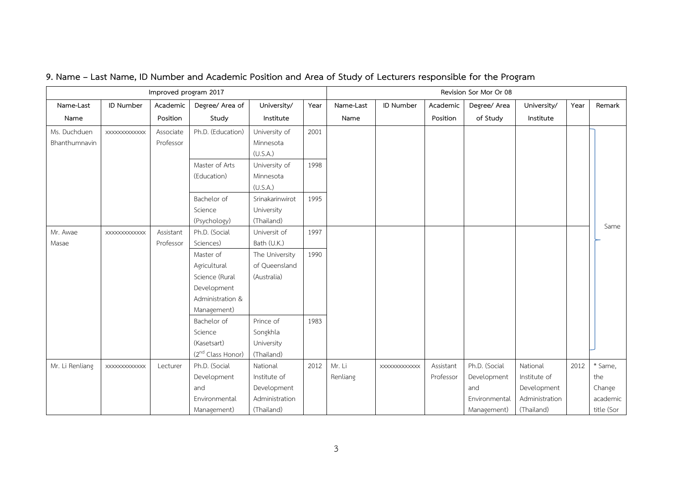|                 | Improved program 2017 |           |                               |                 |      |           | Revision Sor Mor Or 08 |           |               |                |      |            |
|-----------------|-----------------------|-----------|-------------------------------|-----------------|------|-----------|------------------------|-----------|---------------|----------------|------|------------|
| Name-Last       | ID Number             | Academic  | Degree/ Area of               | University/     | Year | Name-Last | ID Number              | Academic  | Degree/ Area  | University/    | Year | Remark     |
| Name            |                       | Position  | Study                         | Institute       |      | Name      |                        | Position  | of Study      | Institute      |      |            |
| Ms. Duchduen    | <b>XXXXXXXXXXXXX</b>  | Associate | Ph.D. (Education)             | University of   | 2001 |           |                        |           |               |                |      |            |
| Bhanthumnavin   |                       | Professor |                               | Minnesota       |      |           |                        |           |               |                |      |            |
|                 |                       |           |                               | (U.S.A.)        |      |           |                        |           |               |                |      |            |
|                 |                       |           | Master of Arts                | University of   | 1998 |           |                        |           |               |                |      |            |
|                 |                       |           | (Education)                   | Minnesota       |      |           |                        |           |               |                |      |            |
|                 |                       |           |                               | (U.S.A.)        |      |           |                        |           |               |                |      |            |
|                 |                       |           | Bachelor of                   | Srinakarinwirot | 1995 |           |                        |           |               |                |      |            |
|                 |                       |           | Science                       | University      |      |           |                        |           |               |                |      |            |
|                 |                       |           | (Psychology)                  | (Thailand)      |      |           |                        |           |               |                |      | Same       |
| Mr. Awae        | XXXXXXXXXXXX          | Assistant | Ph.D. (Social                 | Universit of    | 1997 |           |                        |           |               |                |      |            |
| Masae           |                       | Professor | Sciences)                     | Bath (U.K.)     |      |           |                        |           |               |                |      |            |
|                 |                       |           | Master of                     | The University  | 1990 |           |                        |           |               |                |      |            |
|                 |                       |           | Agricultural                  | of Queensland   |      |           |                        |           |               |                |      |            |
|                 |                       |           | Science (Rural                | (Australia)     |      |           |                        |           |               |                |      |            |
|                 |                       |           | Development                   |                 |      |           |                        |           |               |                |      |            |
|                 |                       |           | Administration &              |                 |      |           |                        |           |               |                |      |            |
|                 |                       |           | Management)                   |                 |      |           |                        |           |               |                |      |            |
|                 |                       |           | Bachelor of                   | Prince of       | 1983 |           |                        |           |               |                |      |            |
|                 |                       |           | Science                       | Songkhla        |      |           |                        |           |               |                |      |            |
|                 |                       |           | (Kasetsart)                   | University      |      |           |                        |           |               |                |      |            |
|                 |                       |           | (2 <sup>nd</sup> Class Honor) | (Thailand)      |      |           |                        |           |               |                |      |            |
| Mr. Li Renliang | XXXXXXXXXXXX          | Lecturer  | Ph.D. (Social                 | National        | 2012 | Mr. Li    | XXXXXXXXXXXX           | Assistant | Ph.D. (Social | National       | 2012 | * Same,    |
|                 |                       |           | Development                   | Institute of    |      | Renliang  |                        | Professor | Development   | Institute of   |      | the        |
|                 |                       |           | and                           | Development     |      |           |                        |           | and           | Development    |      | Change     |
|                 |                       |           | Environmental                 | Administration  |      |           |                        |           | Environmental | Administration |      | academic   |
|                 |                       |           | Management)                   | (Thailand)      |      |           |                        |           | Management)   | (Thailand)     |      | title (Sor |

# **9. Name – Last Name, ID Number and Academic Position and Area of Study of Lecturers responsible for the Program**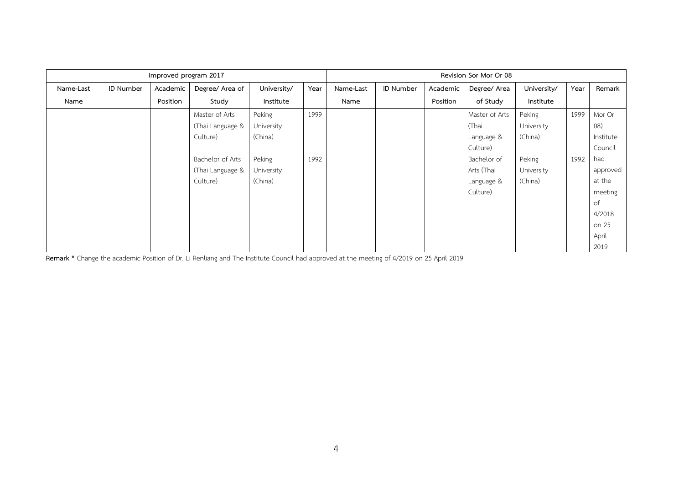|           | Improved program 2017 |          |                  |             |      | Revision Sor Mor Or 08 |                  |          |                |             |      |           |
|-----------|-----------------------|----------|------------------|-------------|------|------------------------|------------------|----------|----------------|-------------|------|-----------|
| Name-Last | ID Number             | Academic | Degree/ Area of  | University/ | Year | Name-Last              | <b>ID Number</b> | Academic | Degree/ Area   | University/ | Year | Remark    |
| Name      |                       | Position | Study            | Institute   |      | Name                   |                  | Position | of Study       | Institute   |      |           |
|           |                       |          | Master of Arts   | Peking      | 1999 |                        |                  |          | Master of Arts | Peking      | 1999 | Mor Or    |
|           |                       |          | (Thai Language & | University  |      |                        |                  |          | (Thai          | University  |      | (08)      |
|           |                       |          | Culture)         | (China)     |      |                        |                  |          | Language &     | (China)     |      | Institute |
|           |                       |          |                  |             |      |                        |                  |          | Culture)       |             |      | Council   |
|           |                       |          | Bachelor of Arts | Peking      | 1992 |                        |                  |          | Bachelor of    | Peking      | 1992 | had       |
|           |                       |          | (Thai Language & | University  |      |                        |                  |          | Arts (Thai     | University  |      | approved  |
|           |                       |          | Culture)         | (China)     |      |                        |                  |          | Language &     | (China)     |      | at the    |
|           |                       |          |                  |             |      |                        |                  |          | Culture)       |             |      | meeting   |
|           |                       |          |                  |             |      |                        |                  |          |                |             |      | of        |
|           |                       |          |                  |             |      |                        |                  |          |                |             |      | 4/2018    |
|           |                       |          |                  |             |      |                        |                  |          |                |             |      | on 25     |
|           |                       |          |                  |             |      |                        |                  |          |                |             |      | April     |
|           |                       |          |                  |             |      |                        |                  |          |                |             |      | 2019      |

**Remark \*** Change the academic Position of Dr. Li Renliang and The Institute Council had approved at the meeting of 4/2019 on 25 April 2019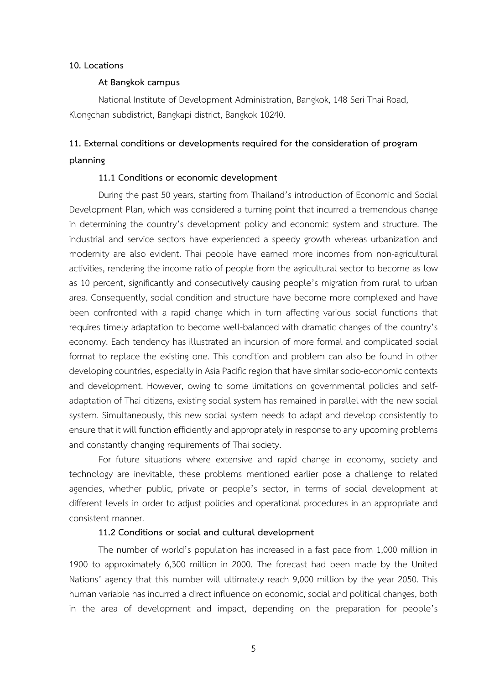### **10. Locations**

### **At Bangkok campus**

National Institute of Development Administration, Bangkok, 148 Seri Thai Road, Klongchan subdistrict, Bangkapi district, Bangkok 10240.

# **11. External conditions or developments required for the consideration of program planning**

### **11.1 Conditions or economic development**

During the past 50 years, starting from Thailand's introduction of Economic and Social Development Plan, which was considered a turning point that incurred a tremendous change in determining the country's development policy and economic system and structure. The industrial and service sectors have experienced a speedy growth whereas urbanization and modernity are also evident. Thai people have earned more incomes from non-agricultural activities, rendering the income ratio of people from the agricultural sector to become as low as 10 percent, significantly and consecutively causing people's migration from rural to urban area. Consequently, social condition and structure have become more complexed and have been confronted with a rapid change which in turn affecting various social functions that requires timely adaptation to become well-balanced with dramatic changes of the country's economy. Each tendency has illustrated an incursion of more formal and complicated social format to replace the existing one. This condition and problem can also be found in other developing countries, especially in Asia Pacific region that have similar socio-economic contexts and development. However, owing to some limitations on governmental policies and selfadaptation of Thai citizens, existing social system has remained in parallel with the new social system. Simultaneously, this new social system needs to adapt and develop consistently to ensure that it will function efficiently and appropriately in response to any upcoming problems and constantly changing requirements of Thai society.

For future situations where extensive and rapid change in economy, society and technology are inevitable, these problems mentioned earlier pose a challenge to related agencies, whether public, private or people's sector, in terms of social development at different levels in order to adjust policies and operational procedures in an appropriate and consistent manner.

### **11.2 Conditions or social and cultural development**

The number of world's population has increased in a fast pace from 1,000 million in 1900 to approximately 6,300 million in 2000. The forecast had been made by the United Nations' agency that this number will ultimately reach 9,000 million by the year 2050. This human variable has incurred a direct influence on economic, social and political changes, both in the area of development and impact, depending on the preparation for people's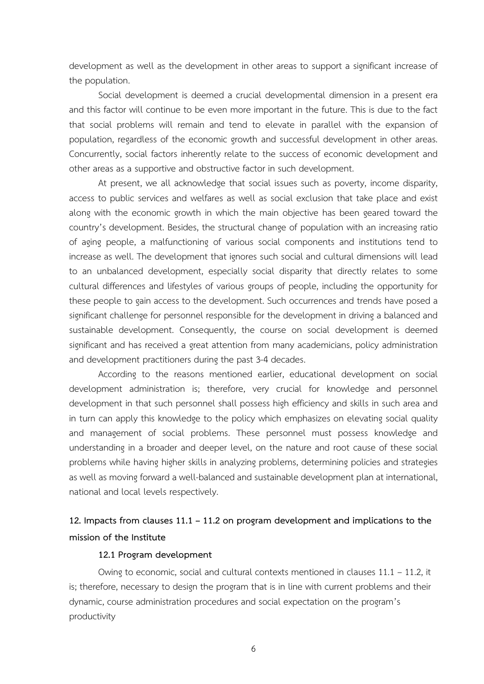development as well as the development in other areas to support a significant increase of the population.

Social development is deemed a crucial developmental dimension in a present era and this factor will continue to be even more important in the future. This is due to the fact that social problems will remain and tend to elevate in parallel with the expansion of population, regardless of the economic growth and successful development in other areas. Concurrently, social factors inherently relate to the success of economic development and other areas as a supportive and obstructive factor in such development.

At present, we all acknowledge that social issues such as poverty, income disparity, access to public services and welfares as well as social exclusion that take place and exist along with the economic growth in which the main objective has been geared toward the country's development. Besides, the structural change of population with an increasing ratio of aging people, a malfunctioning of various social components and institutions tend to increase as well. The development that ignores such social and cultural dimensions will lead to an unbalanced development, especially social disparity that directly relates to some cultural differences and lifestyles of various groups of people, including the opportunity for these people to gain access to the development. Such occurrences and trends have posed a significant challenge for personnel responsible for the development in driving a balanced and sustainable development. Consequently, the course on social development is deemed significant and has received a great attention from many academicians, policy administration and development practitioners during the past 3-4 decades.

According to the reasons mentioned earlier, educational development on social development administration is; therefore, very crucial for knowledge and personnel development in that such personnel shall possess high efficiency and skills in such area and in turn can apply this knowledge to the policy which emphasizes on elevating social quality and management of social problems. These personnel must possess knowledge and understanding in a broader and deeper level, on the nature and root cause of these social problems while having higher skills in analyzing problems, determining policies and strategies as well as moving forward a well-balanced and sustainable development plan at international, national and local levels respectively.

# **12. Impacts from clauses 11.1 – 11.2 on program development and implications to the mission of the Institute**

### **12.1 Program development**

Owing to economic, social and cultural contexts mentioned in clauses 11.1 – 11.2, it is; therefore, necessary to design the program that is in line with current problems and their dynamic, course administration procedures and social expectation on the program's productivity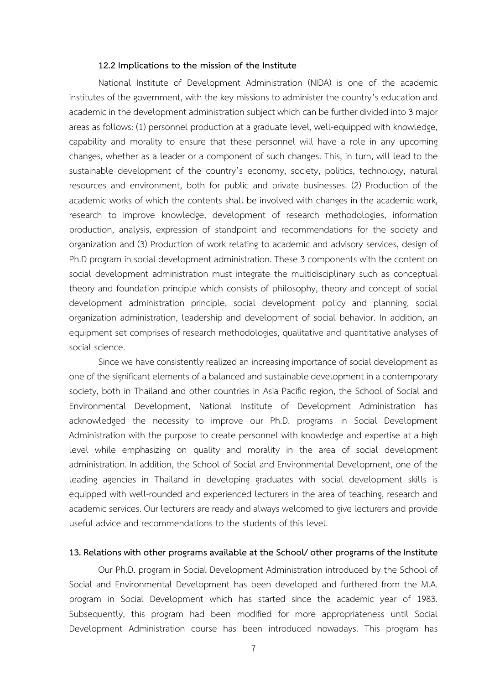### **12.2 Implications to the mission of the Institute**

National Institute of Development Administration (NIDA) is one of the academic institutes of the government, with the key missions to administer the country's education and academic in the development administration subject which can be further divided into 3 major areas as follows: (1) personnel production at a graduate level, well-equipped with knowledge, capability and morality to ensure that these personnel will have a role in any upcoming changes, whether as a leader or a component of such changes. This, in turn, will lead to the sustainable development of the country's economy, society, politics, technology, natural resources and environment, both for public and private businesses. (2) Production of the academic works of which the contents shall be involved with changes in the academic work, research to improve knowledge, development of research methodologies, information production, analysis, expression of standpoint and recommendations for the society and organization and (3) Production of work relating to academic and advisory services, design of Ph.D program in social development administration. These 3 components with the content on social development administration must integrate the multidisciplinary such as conceptual theory and foundation principle which consists of philosophy, theory and concept of social development administration principle, social development policy and planning, social organization administration, leadership and development of social behavior. In addition, an equipment set comprises of research methodologies, qualitative and quantitative analyses of social science.

Since we have consistently realized an increasing importance of social development as one of the significant elements of a balanced and sustainable development in a contemporary society, both in Thailand and other countries in Asia Pacific region, the School of Social and Environmental Development, National Institute of Development Administration has acknowledged the necessity to improve our Ph.D. programs in Social Development Administration with the purpose to create personnel with knowledge and expertise at a high level while emphasizing on quality and morality in the area of social development administration. In addition, the School of Social and Environmental Development, one of the leading agencies in Thailand in developing graduates with social development skills is equipped with well-rounded and experienced lecturers in the area of teaching, research and academic services. Our lecturers are ready and always welcomed to give lecturers and provide useful advice and recommendations to the students of this level.

### **13. Relations with other programs available at the School/ other programs of the Institute**

Our Ph.D. program in Social Development Administration introduced by the School of Social and Environmental Development has been developed and furthered from the M.A. program in Social Development which has started since the academic year of 1983. Subsequently, this program had been modified for more appropriateness until Social Development Administration course has been introduced nowadays. This program has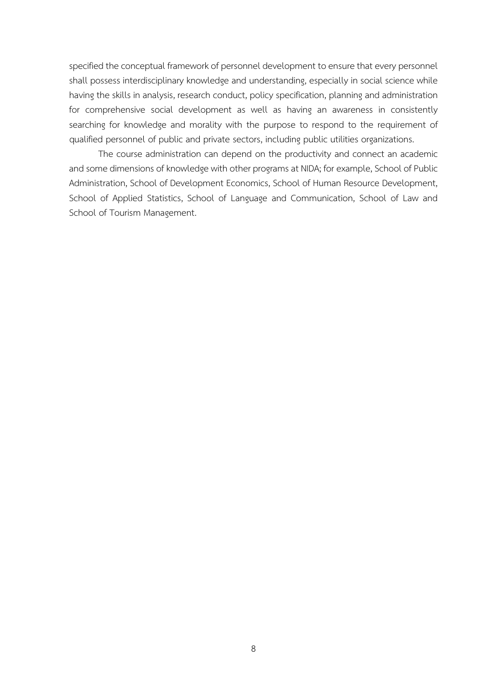specified the conceptual framework of personnel development to ensure that every personnel shall possess interdisciplinary knowledge and understanding, especially in social science while having the skills in analysis, research conduct, policy specification, planning and administration for comprehensive social development as well as having an awareness in consistently searching for knowledge and morality with the purpose to respond to the requirement of qualified personnel of public and private sectors, including public utilities organizations.

The course administration can depend on the productivity and connect an academic and some dimensions of knowledge with other programs at NIDA; for example, School of Public Administration, School of Development Economics, School of Human Resource Development, School of Applied Statistics, School of Language and Communication, School of Law and School of Tourism Management.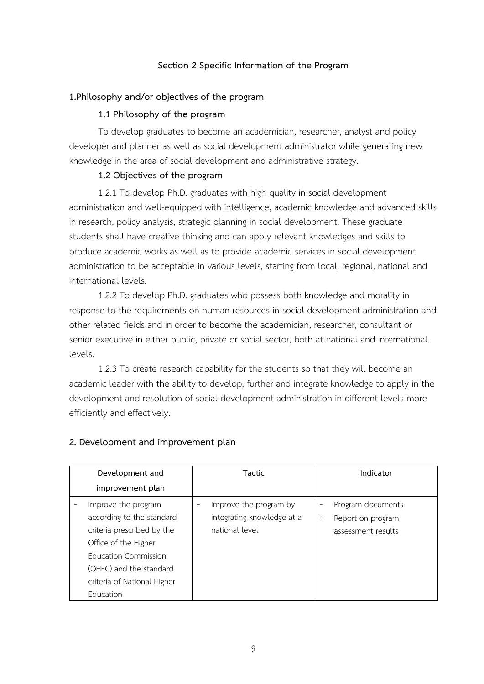### **Section 2 Specific Information of the Program**

### **1.Philosophy and/or objectives of the program**

### **1.1 Philosophy of the program**

To develop graduates to become an academician, researcher, analyst and policy developer and planner as well as social development administrator while generating new knowledge in the area of social development and administrative strategy.

### **1.2 Objectives of the program**

1.2.1 To develop Ph.D. graduates with high quality in social development administration and well-equipped with intelligence, academic knowledge and advanced skills in research, policy analysis, strategic planning in social development. These graduate students shall have creative thinking and can apply relevant knowledges and skills to produce academic works as well as to provide academic services in social development administration to be acceptable in various levels, starting from local, regional, national and international levels.

1.2.2 To develop Ph.D. graduates who possess both knowledge and morality in response to the requirements on human resources in social development administration and other related fields and in order to become the academician, researcher, consultant or senior executive in either public, private or social sector, both at national and international levels.

1.2.3 To create research capability for the students so that they will become an academic leader with the ability to develop, further and integrate knowledge to apply in the development and resolution of social development administration in different levels more efficiently and effectively.

| Development and                                                                                                                                                                                              | <b>Tactic</b>                                                          | Indicator                                                    |  |  |
|--------------------------------------------------------------------------------------------------------------------------------------------------------------------------------------------------------------|------------------------------------------------------------------------|--------------------------------------------------------------|--|--|
| improvement plan                                                                                                                                                                                             |                                                                        |                                                              |  |  |
| Improve the program<br>according to the standard<br>criteria prescribed by the<br>Office of the Higher<br><b>Education Commission</b><br>(OHEC) and the standard<br>criteria of National Higher<br>Education | Improve the program by<br>integrating knowledge at a<br>national level | Program documents<br>Report on program<br>assessment results |  |  |

### **2. Development and improvement plan**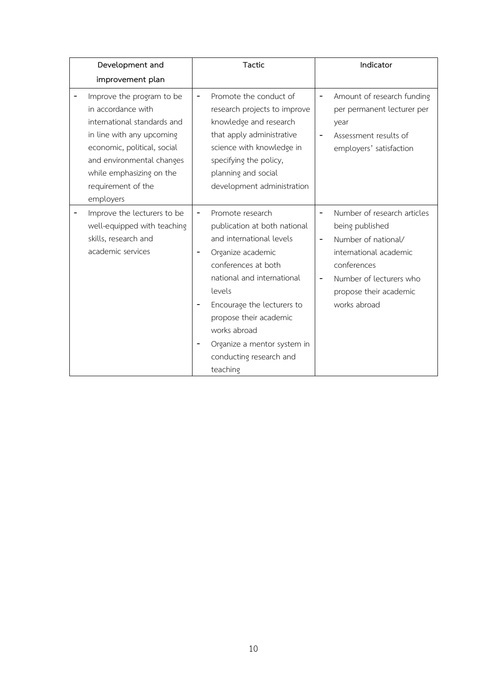| Development and                                                                                                                                                                                                                        | Tactic                       |                                                                                                                                                                                                                                                                                                                |                                                              | Indicator                                                                                                                                                                           |  |  |
|----------------------------------------------------------------------------------------------------------------------------------------------------------------------------------------------------------------------------------------|------------------------------|----------------------------------------------------------------------------------------------------------------------------------------------------------------------------------------------------------------------------------------------------------------------------------------------------------------|--------------------------------------------------------------|-------------------------------------------------------------------------------------------------------------------------------------------------------------------------------------|--|--|
| improvement plan                                                                                                                                                                                                                       |                              |                                                                                                                                                                                                                                                                                                                |                                                              |                                                                                                                                                                                     |  |  |
| Improve the program to be<br>in accordance with<br>international standards and<br>in line with any upcoming<br>economic, political, social<br>and environmental changes<br>while emphasizing on the<br>requirement of the<br>employers | -                            | Promote the conduct of<br>research projects to improve<br>knowledge and research<br>that apply administrative<br>science with knowledge in<br>specifying the policy,<br>planning and social<br>development administration                                                                                      |                                                              | Amount of research funding<br>per permanent lecturer per<br>year<br>Assessment results of<br>employers' satisfaction                                                                |  |  |
| Improve the lecturers to be<br>well-equipped with teaching<br>skills, research and<br>academic services                                                                                                                                | $\qquad \qquad \blacksquare$ | Promote research<br>publication at both national<br>and international levels<br>Organize academic<br>conferences at both<br>national and international<br>levels<br>Encourage the lecturers to<br>propose their academic<br>works abroad<br>Organize a mentor system in<br>conducting research and<br>teaching | $\qquad \qquad \blacksquare$<br>$\qquad \qquad \blacksquare$ | Number of research articles<br>being published<br>Number of national/<br>international academic<br>conferences<br>Number of lecturers who<br>propose their academic<br>works abroad |  |  |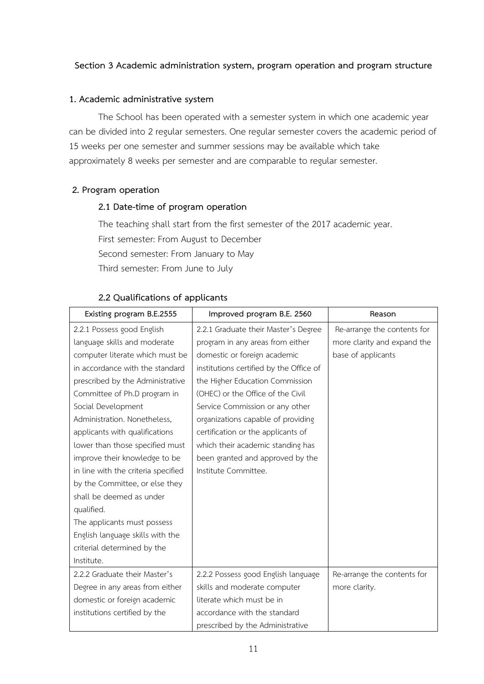### **Section 3 Academic administration system, program operation and program structure**

### **1. Academic administrative system**

The School has been operated with a semester system in which one academic year can be divided into 2 regular semesters. One regular semester covers the academic period of 15 weeks per one semester and summer sessions may be available which take approximately 8 weeks per semester and are comparable to regular semester.

### **2. Program operation**

### **2.1 Date-time of program operation**

The teaching shall start from the first semester of the 2017 academic year. First semester: From August to December Second semester: From January to May Third semester: From June to July

| Existing program B.E.2555           | Improved program B.E. 2560              | Reason                      |
|-------------------------------------|-----------------------------------------|-----------------------------|
| 2.2.1 Possess good English          | 2.2.1 Graduate their Master's Degree    | Re-arrange the contents for |
| language skills and moderate        | program in any areas from either        | more clarity and expand the |
| computer literate which must be     | domestic or foreign academic            | base of applicants          |
| in accordance with the standard     | institutions certified by the Office of |                             |
| prescribed by the Administrative    | the Higher Education Commission         |                             |
| Committee of Ph.D program in        | (OHEC) or the Office of the Civil       |                             |
| Social Development                  | Service Commission or any other         |                             |
| Administration. Nonetheless,        | organizations capable of providing      |                             |
| applicants with qualifications      | certification or the applicants of      |                             |
| lower than those specified must     | which their academic standing has       |                             |
| improve their knowledge to be       | been granted and approved by the        |                             |
| in line with the criteria specified | Institute Committee.                    |                             |
| by the Committee, or else they      |                                         |                             |
| shall be deemed as under            |                                         |                             |
| qualified.                          |                                         |                             |
| The applicants must possess         |                                         |                             |
| English language skills with the    |                                         |                             |
| criterial determined by the         |                                         |                             |
| Institute.                          |                                         |                             |
| 2.2.2 Graduate their Master's       | 2.2.2 Possess good English language     | Re-arrange the contents for |
| Degree in any areas from either     | skills and moderate computer            | more clarity.               |
| domestic or foreign academic        | literate which must be in               |                             |
| institutions certified by the       | accordance with the standard            |                             |
|                                     | prescribed by the Administrative        |                             |

### **2.2 Qualifications of applicants**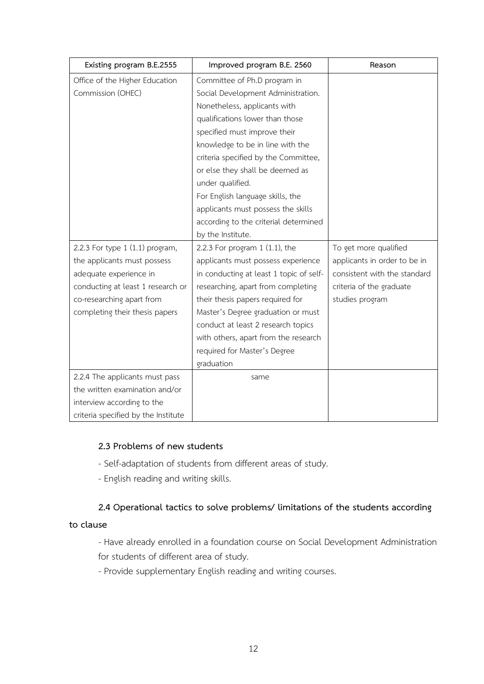| Existing program B.E.2555           | Improved program B.E. 2560              | Reason                       |
|-------------------------------------|-----------------------------------------|------------------------------|
| Office of the Higher Education      | Committee of Ph.D program in            |                              |
| Commission (OHEC)                   | Social Development Administration.      |                              |
|                                     | Nonetheless, applicants with            |                              |
|                                     | qualifications lower than those         |                              |
|                                     | specified must improve their            |                              |
|                                     | knowledge to be in line with the        |                              |
|                                     | criteria specified by the Committee,    |                              |
|                                     | or else they shall be deemed as         |                              |
|                                     | under qualified.                        |                              |
|                                     | For English language skills, the        |                              |
|                                     | applicants must possess the skills      |                              |
|                                     | according to the criterial determined   |                              |
|                                     | by the Institute.                       |                              |
| 2.2.3 For type 1 (1.1) program,     | 2.2.3 For program $1$ (1.1), the        | To get more qualified        |
| the applicants must possess         | applicants must possess experience      | applicants in order to be in |
| adequate experience in              | in conducting at least 1 topic of self- | consistent with the standard |
| conducting at least 1 research or   | researching, apart from completing      | criteria of the graduate     |
| co-researching apart from           | their thesis papers required for        | studies program              |
| completing their thesis papers      | Master's Degree graduation or must      |                              |
|                                     | conduct at least 2 research topics      |                              |
|                                     | with others, apart from the research    |                              |
|                                     | required for Master's Degree            |                              |
|                                     | graduation                              |                              |
| 2.2.4 The applicants must pass      | same                                    |                              |
| the written examination and/or      |                                         |                              |
| interview according to the          |                                         |                              |
| criteria specified by the Institute |                                         |                              |

### **2.3 Problems of new students**

- Self-adaptation of students from different areas of study.
- English reading and writing skills.

# **2.4 Operational tactics to solve problems/ limitations of the students according**

### **to clause**

- Have already enrolled in a foundation course on Social Development Administration for students of different area of study.

- Provide supplementary English reading and writing courses.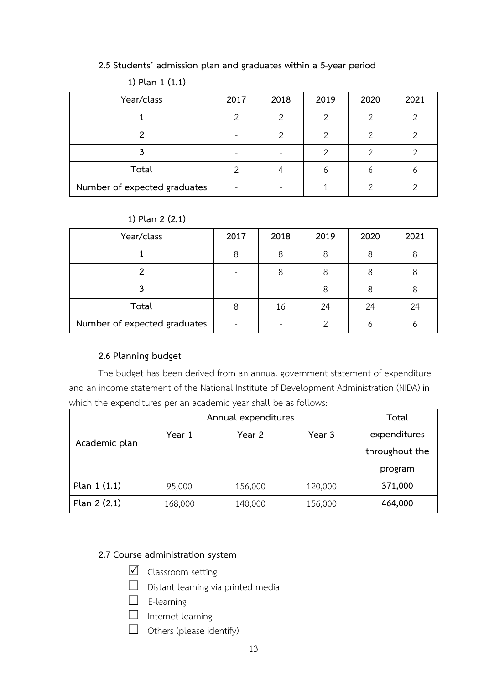**2.5 Students' admission plan and graduates within a 5-year period**

| Year/class                   | 2017 | 2018 | 2019 | 2020 | 2021 |
|------------------------------|------|------|------|------|------|
|                              |      | ⌒    | ⌒    |      |      |
|                              |      |      | ⌒    |      | ⌒    |
|                              |      |      |      |      |      |
| Total                        |      |      |      |      |      |
| Number of expected graduates |      |      |      |      |      |

### **1) Plan 1 (1.1)**

### **1) Plan 2 (2.1)**

| Year/class                   | 2017 | 2018 | 2019 | 2020 | 2021 |
|------------------------------|------|------|------|------|------|
|                              |      | 8    |      | Զ    |      |
|                              |      | 8    |      | O    |      |
|                              |      |      |      | Զ    |      |
| Total                        |      | 16   | 24   | 24   | 24   |
| Number of expected graduates |      |      |      |      |      |

### **2.6 Planning budget**

The budget has been derived from an annual government statement of expenditure and an income statement of the National Institute of Development Administration (NIDA) in which the expenditures per an academic year shall be as follows:

|               | Annual expenditures |         |         | Total          |
|---------------|---------------------|---------|---------|----------------|
|               | Year 1              | Year 2  | Year 3  | expenditures   |
| Academic plan |                     |         |         | throughout the |
|               |                     |         |         | program        |
| Plan $1(1.1)$ | 95,000              | 156,000 | 120,000 | 371,000        |
| Plan 2 (2.1)  | 168,000             | 140,000 | 156,000 | 464,000        |

# **2.7 Course administration system**

- $\boxtimes$  Classroom setting
- $\Box$  Distant learning via printed media
- $\Box$  E-learning
- $\Box$  Internet learning
- $\Box$  Others (please identify)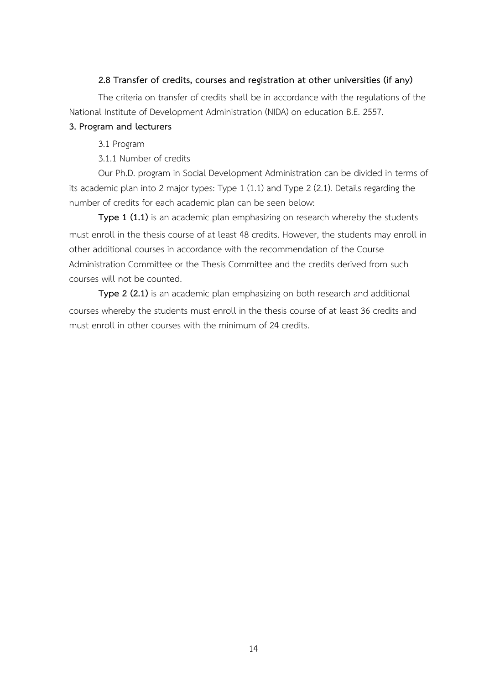### **2.8 Transfer of credits, courses and registration at other universities (if any)**

The criteria on transfer of credits shall be in accordance with the regulations of the National Institute of Development Administration (NIDA) on education B.E. 2557.

### **3. Program and lecturers**

3.1 Program

3.1.1 Number of credits

Our Ph.D. program in Social Development Administration can be divided in terms of its academic plan into 2 major types: Type 1 (1.1) and Type 2 (2.1). Details regarding the number of credits for each academic plan can be seen below:

**Type 1 (1.1)** is an academic plan emphasizing on research whereby the students must enroll in the thesis course of at least 48 credits. However, the students may enroll in other additional courses in accordance with the recommendation of the Course Administration Committee or the Thesis Committee and the credits derived from such courses will not be counted.

**Type 2 (2.1)** is an academic plan emphasizing on both research and additional courses whereby the students must enroll in the thesis course of at least 36 credits and must enroll in other courses with the minimum of 24 credits.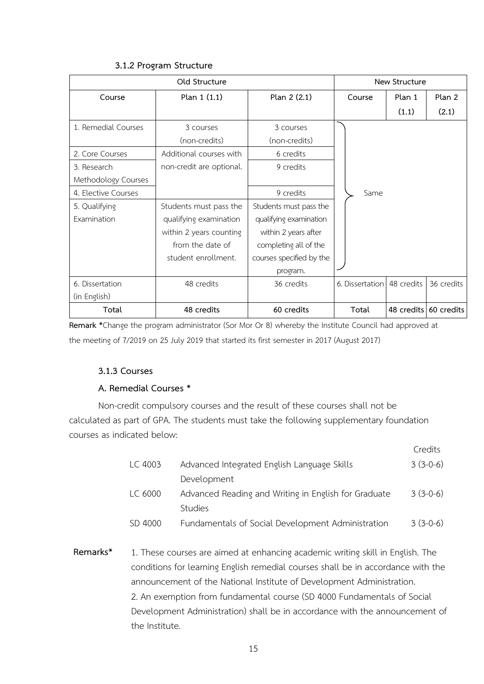|                     | Old Structure            |                          |                 | New Structure |                       |
|---------------------|--------------------------|--------------------------|-----------------|---------------|-----------------------|
| Course              | Plan 1 (1.1)             | Plan 2 (2.1)             | Course          | Plan 1        | Plan 2                |
|                     |                          |                          |                 | (1.1)         | (2.1)                 |
| 1. Remedial Courses | 3 courses                | 3 courses                |                 |               |                       |
|                     | (non-credits)            | (non-credits)            |                 |               |                       |
| 2. Core Courses     | Additional courses with  | 6 credits                |                 |               |                       |
| 3. Research         | non-credit are optional. | 9 credits                |                 |               |                       |
| Methodology Courses |                          |                          |                 |               |                       |
| 4. Elective Courses |                          | 9 credits                | Same            |               |                       |
| 5. Qualifying       | Students must pass the   | Students must pass the   |                 |               |                       |
| Examination         | qualifying examination   | qualifying examination   |                 |               |                       |
|                     | within 2 years counting  | within 2 years after     |                 |               |                       |
|                     | from the date of         | completing all of the    |                 |               |                       |
|                     | student enrollment.      | courses specified by the |                 |               |                       |
|                     |                          | program.                 |                 |               |                       |
| 6. Dissertation     | 48 credits               | 36 credits               | 6. Dissertation | 48 credits    | 36 credits            |
| (in English)        |                          |                          |                 |               |                       |
| Total               | 48 credits               | 60 credits               | Total           |               | 48 credits 60 credits |

### **3.1.2 Program Structure**

**Remark \***Change the program administrator (Sor Mor Or 8) whereby the Institute Council had approved at the meeting of 7/2019 on 25 July 2019 that started its first semester in 2017 (August 2017)

### **3.1.3 Courses**

### **A. Remedial Courses \***

Non-credit compulsory courses and the result of these courses shall not be calculated as part of GPA. The students must take the following supplementary foundation courses as indicated below:

|         |                                                      | Credits    |
|---------|------------------------------------------------------|------------|
| LC 4003 | Advanced Integrated English Language Skills          | $3(3-0-6)$ |
|         | Development                                          |            |
| LC 6000 | Advanced Reading and Writing in English for Graduate | $3(3-0-6)$ |
|         | <b>Studies</b>                                       |            |
| SD 4000 | Fundamentals of Social Development Administration    | $3(3-0-6)$ |
|         |                                                      |            |

**Remarks\*** 1. These courses are aimed at enhancing academic writing skill in English. The conditions for learning English remedial courses shall be in accordance with the announcement of the National Institute of Development Administration. 2. An exemption from fundamental course (SD 4000 Fundamentals of Social Development Administration) shall be in accordance with the announcement of the Institute.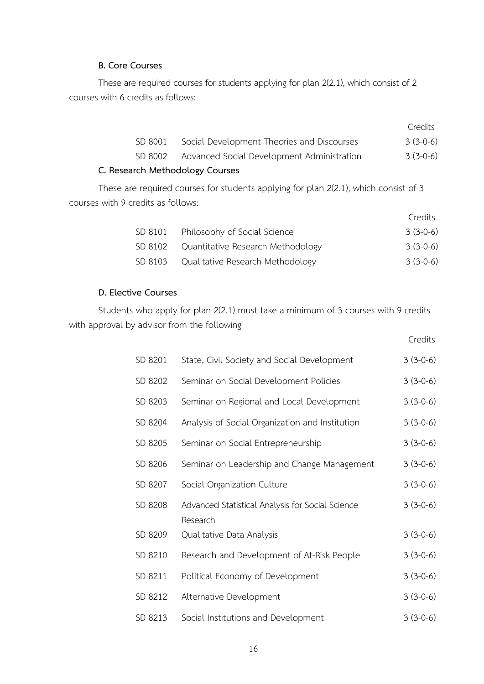### **B. Core Courses**

These are required courses for students applying for plan 2(2.1), which consist of 2 courses with 6 credits as follows:

|                                 |                                                    | Credits    |
|---------------------------------|----------------------------------------------------|------------|
| SD 8001                         | Social Development Theories and Discourses         | $3(3-0-6)$ |
|                                 | SD 8002 Advanced Social Development Administration | $3(3-0-6)$ |
| C. Research Methodology Courses |                                                    |            |

These are required courses for students applying for plan 2(2.1), which consist of 3 courses with 9 credits as follows:

|         |                                           | Credits    |
|---------|-------------------------------------------|------------|
|         | SD 8101 Philosophy of Social Science      | $3(3-0-6)$ |
|         | SD 8102 Quantitative Research Methodology | $3(3-0-6)$ |
| SD 8103 | Qualitative Research Methodology          | $3(3-0-6)$ |

Credits

### **D. Elective Courses**

Students who apply for plan 2(2.1) must take a minimum of 3 courses with 9 credits with approval by advisor from the following

| SD 8201 | State, Civil Society and Social Development                  | $3(3-0-6)$ |
|---------|--------------------------------------------------------------|------------|
| SD 8202 | Seminar on Social Development Policies                       | $3(3-0-6)$ |
| SD 8203 | Seminar on Regional and Local Development                    | $3(3-0-6)$ |
| SD 8204 | Analysis of Social Organization and Institution              | $3(3-0-6)$ |
| SD 8205 | Seminar on Social Entrepreneurship                           | $3(3-0-6)$ |
| SD 8206 | Seminar on Leadership and Change Management                  | $3(3-0-6)$ |
| SD 8207 | Social Organization Culture                                  | $3(3-0-6)$ |
| SD 8208 | Advanced Statistical Analysis for Social Science<br>Research | $3(3-0-6)$ |
| SD 8209 | Qualitative Data Analysis                                    | $3(3-0-6)$ |
| SD 8210 | Research and Development of At-Risk People                   | $3(3-0-6)$ |
| SD 8211 | Political Economy of Development                             | $3(3-0-6)$ |
| SD 8212 | Alternative Development                                      | $3(3-0-6)$ |
| SD 8213 | Social Institutions and Development                          | $3(3-0-6)$ |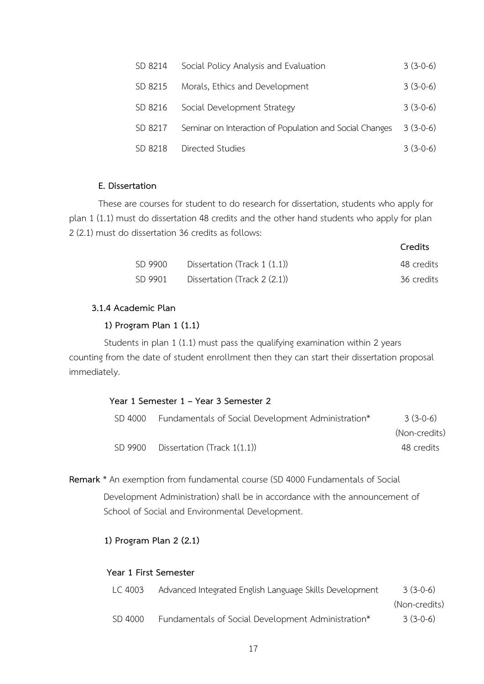| SD 8214 | Social Policy Analysis and Evaluation                   | $3(3-0-6)$ |
|---------|---------------------------------------------------------|------------|
| SD 8215 | Morals, Ethics and Development                          | $3(3-0-6)$ |
| SD 8216 | Social Development Strategy                             | $3(3-0-6)$ |
| SD 8217 | Seminar on Interaction of Population and Social Changes | $3(3-0-6)$ |
| SD 8218 | Directed Studies                                        | $3(3-0-6)$ |

### **E. Dissertation**

These are courses for student to do research for dissertation, students who apply for plan 1 (1.1) must do dissertation 48 credits and the other hand students who apply for plan 2 (2.1) must do dissertation 36 credits as follows:

|         |                              | Credits    |
|---------|------------------------------|------------|
| SD 9900 | Dissertation (Track 1 (1.1)) | 48 credits |
| SD 9901 | Dissertation (Track 2 (2.1)) | 36 credits |

### **3.1.4 Academic Plan**

### **1) Program Plan 1 (1.1)**

Students in plan 1 (1.1) must pass the qualifying examination within 2 years counting from the date of student enrollment then they can start their dissertation proposal immediately.

|         | Year 1 Semester 1 – Year 3 Semester 2                      |               |
|---------|------------------------------------------------------------|---------------|
|         | SD 4000 Fundamentals of Social Development Administration* | $3(3-0-6)$    |
|         |                                                            | (Non-credits) |
| SD 9900 | Dissertation (Track 1(1.1))                                | 48 credits    |

**Remark** \* An exemption from fundamental course (SD 4000 Fundamentals of Social Development Administration) shall be in accordance with the announcement of

School of Social and Environmental Development.

### **1) Program Plan 2 (2.1)**

### **Year 1 First Semester**

| LC 4003 | Advanced Integrated English Language Skills Development | $3(3-0-6)$    |
|---------|---------------------------------------------------------|---------------|
|         |                                                         | (Non-credits) |
| SD 4000 | Fundamentals of Social Development Administration*      | $3(3-0-6)$    |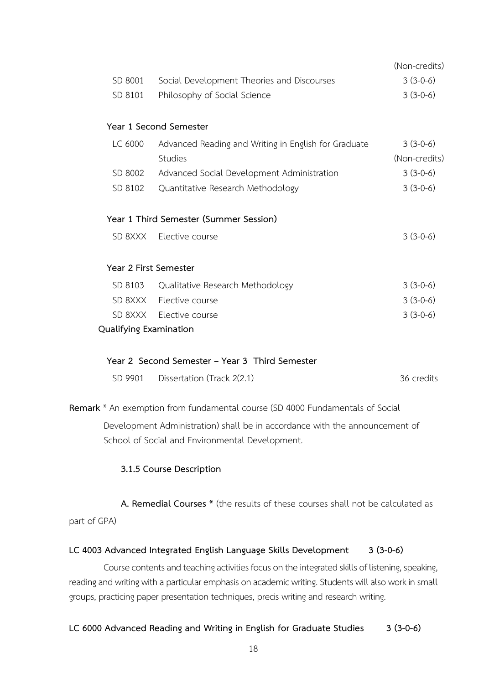|                        |                                                      | (Non-credits) |
|------------------------|------------------------------------------------------|---------------|
| SD 8001                | Social Development Theories and Discourses           | $3(3-0-6)$    |
| SD 8101                | Philosophy of Social Science                         | $3(3-0-6)$    |
|                        |                                                      |               |
|                        | Year 1 Second Semester                               |               |
| LC 6000                | Advanced Reading and Writing in English for Graduate | $3(3-0-6)$    |
|                        | <b>Studies</b>                                       | (Non-credits) |
| SD 8002                | Advanced Social Development Administration           | $3(3-0-6)$    |
| SD 8102                | Quantitative Research Methodology                    | $3(3-0-6)$    |
|                        |                                                      |               |
|                        | Year 1 Third Semester (Summer Session)               |               |
| SD 8XXX                | Elective course                                      | $3(3-0-6)$    |
|                        |                                                      |               |
| Year 2 First Semester  |                                                      |               |
| SD 8103                | Qualitative Research Methodology                     | $3(3-0-6)$    |
| SD 8XXX                | Elective course                                      | $3(3-0-6)$    |
|                        | SD 8XXX Elective course                              | $3(3-0-6)$    |
| Qualifying Examination |                                                      |               |

### **Year 2 Second Semester – Year 3 Third Semester**

|  | SD 9901 Dissertation (Track 2(2.1) | 36 credits |
|--|------------------------------------|------------|
|--|------------------------------------|------------|

**Remark** \* An exemption from fundamental course (SD 4000 Fundamentals of Social Development Administration) shall be in accordance with the announcement of

School of Social and Environmental Development.

### **3.1.5 Course Description**

**A. Remedial Courses \*** (the results of these courses shall not be calculated as part of GPA)

### **LC 4003 Advanced Integrated English Language Skills Development 3 (3-0-6)**

Course contents and teaching activities focus on the integrated skills of listening, speaking, reading and writing with a particular emphasis on academic writing. Students will also work in small groups, practicing paper presentation techniques, precis writing and research writing.

### **LC 6000 Advanced Reading and Writing in English for Graduate Studies 3 (3-0-6)**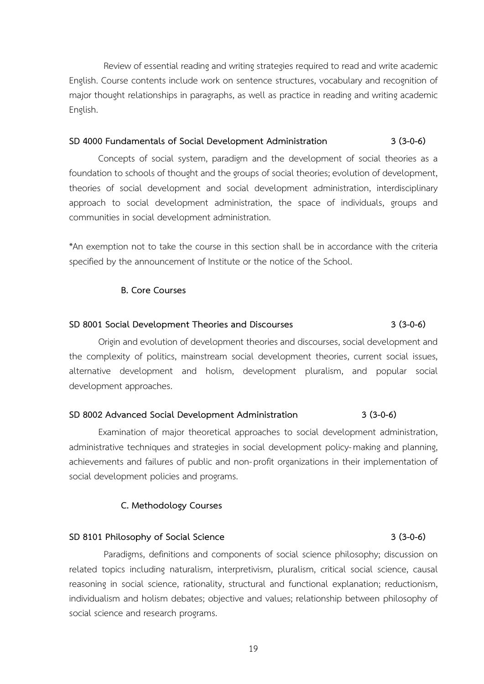Review of essential reading and writing strategies required to read and write academic English. Course contents include work on sentence structures, vocabulary and recognition of major thought relationships in paragraphs, as well as practice in reading and writing academic English.

### **SD 4000 Fundamentals of Social Development Administration 3 (3-0-6)**

Concepts of social system, paradigm and the development of social theories as a foundation to schools of thought and the groups of social theories; evolution of development, theories of social development and social development administration, interdisciplinary approach to social development administration, the space of individuals, groups and communities in social development administration.

\*An exemption not to take the course in this section shall be in accordance with the criteria specified by the announcement of Institute or the notice of the School.

### **B. Core Courses**

### **SD 8001 Social Development Theories and Discourses 3 (3-0-6)**

Origin and evolution of development theories and discourses, social development and the complexity of politics, mainstream social development theories, current social issues, alternative development and holism, development pluralism, and popular social development approaches.

### **SD 8002 Advanced Social Development Administration 3 (3-0-6)**

Examination of major theoretical approaches to social development administration, administrative techniques and strategies in social development policy-making and planning, achievements and failures of public and non- profit organizations in their implementation of social development policies and programs.

### **C. Methodology Courses**

### **SD 8101 Philosophy of Social Science 3 (3-0-6)**

Paradigms, definitions and components of social science philosophy; discussion on related topics including naturalism, interpretivism, pluralism, critical social science, causal reasoning in social science, rationality, structural and functional explanation; reductionism, individualism and holism debates; objective and values; relationship between philosophy of social science and research programs.

19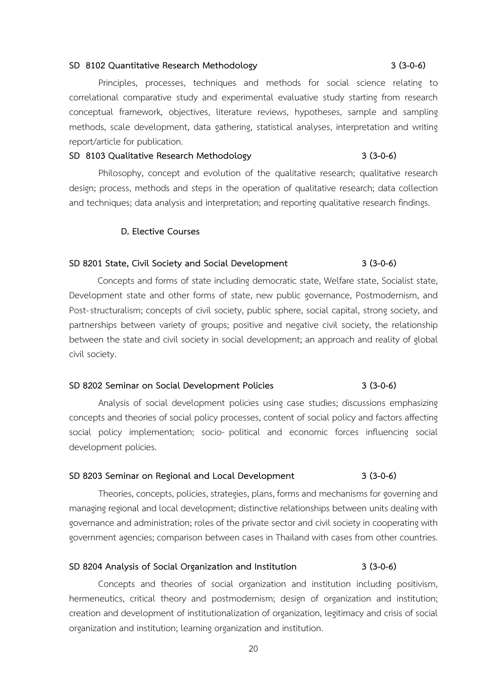### **SD 8102 Quantitative Research Methodology 3 (3-0-6)**

Principles, processes, techniques and methods for social science relating to correlational comparative study and experimental evaluative study starting from research conceptual framework, objectives, literature reviews, hypotheses, sample and sampling methods, scale development, data gathering, statistical analyses, interpretation and writing report/article for publication.

### **SD 8103 Qualitative Research Methodology 3 (3-0-6)**

Philosophy, concept and evolution of the qualitative research; qualitative research design; process, methods and steps in the operation of qualitative research; data collection and techniques; data analysis and interpretation; and reporting qualitative research findings.

### **D. Elective Courses**

### **SD 8201 State, Civil Society and Social Development 3 (3-0-6)**

Concepts and forms of state including democratic state, Welfare state, Socialist state, Development state and other forms of state, new public governance, Postmodernism, and Post-structuralism; concepts of civil society, public sphere, social capital, strong society, and partnerships between variety of groups; positive and negative civil society, the relationship between the state and civil society in social development; an approach and reality of global civil society.

### **SD 8202 Seminar on Social Development Policies 3 (3-0-6)**

Analysis of social development policies using case studies; discussions emphasizing concepts and theories of social policy processes, content of social policy and factors affecting social policy implementation; socio- political and economic forces influencing social development policies.

### **SD 8203 Seminar on Regional and Local Development 3 (3-0-6)**

Theories, concepts, policies, strategies, plans, forms and mechanisms for governing and managing regional and local development; distinctive relationships between units dealing with governance and administration; roles of the private sector and civil society in cooperating with government agencies; comparison between cases in Thailand with cases from other countries.

### **SD 8204 Analysis of Social Organization and Institution 3 (3-0-6)**

Concepts and theories of social organization and institution including positivism, hermeneutics, critical theory and postmodernism; design of organization and institution; creation and development of institutionalization of organization, legitimacy and crisis of social organization and institution; learning organization and institution.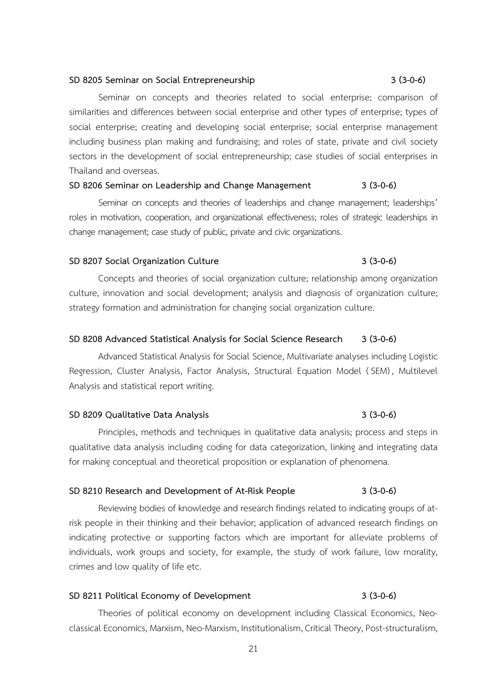### **SD 8205 Seminar on Social Entrepreneurship 3 (3-0-6)**

Seminar on concepts and theories related to social enterprise; comparison of similarities and differences between social enterprise and other types of enterprise; types of social enterprise; creating and developing social enterprise; social enterprise management including business plan making and fundraising; and roles of state, private and civil society sectors in the development of social entrepreneurship; case studies of social enterprises in Thailand and overseas.

### **SD 8206 Seminar on Leadership and Change Management 3 (3-0-6)**

Seminar on concepts and theories of leaderships and change management; leaderships' roles in motivation, cooperation, and organizational effectiveness; roles of strategic leaderships in change management; case study of public, private and civic organizations.

### **SD 8207 Social Organization Culture 3 (3-0-6)**

Concepts and theories of social organization culture; relationship among organization culture, innovation and social development; analysis and diagnosis of organization culture; strategy formation and administration for changing social organization culture.

### **SD 8208 Advanced Statistical Analysis for Social Science Research 3 (3-0-6)**

Advanced Statistical Analysis for Social Science, Multivariate analyses including Logistic Regression, Cluster Analysis, Factor Analysis, Structural Equation Model (SEM) , Multilevel Analysis and statistical report writing.

### **SD 8209 Qualitative Data Analysis 3 (3-0-6)**

Principles, methods and techniques in qualitative data analysis; process and steps in qualitative data analysis including coding for data categorization, linking and integrating data for making conceptual and theoretical proposition or explanation of phenomena.

### **SD 8210 Research and Development of At-Risk People 3 (3-0-6)**

Reviewing bodies of knowledge and research findings related to indicating groups of atrisk people in their thinking and their behavior; application of advanced research findings on indicating protective or supporting factors which are important for alleviate problems of individuals, work groups and society, for example, the study of work failure, low morality, crimes and low quality of life etc.

### **SD 8211 Political Economy of Development 3 (3-0-6)**

Theories of political economy on development including Classical Economics, Neoclassical Economics, Marxism, Neo-Marxism, Institutionalism, Critical Theory, Post-structuralism,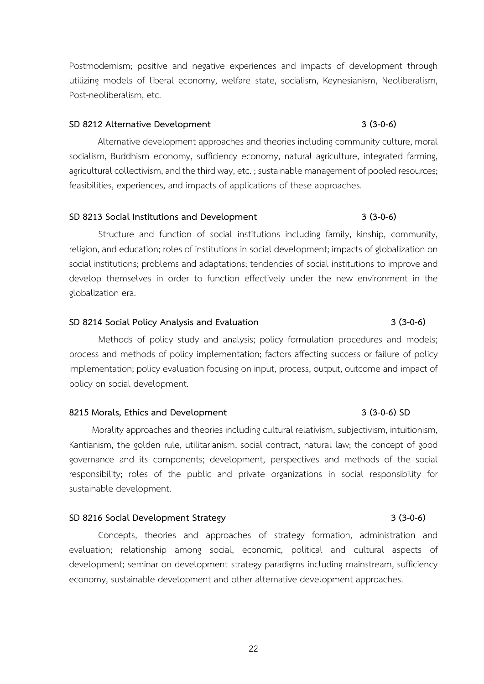Postmodernism; positive and negative experiences and impacts of development through utilizing models of liberal economy, welfare state, socialism, Keynesianism, Neoliberalism, Post-neoliberalism, etc.

### **SD 8212 Alternative Development 3 (3-0-6)**

Alternative development approaches and theories including community culture, moral socialism, Buddhism economy, sufficiency economy, natural agriculture, integrated farming, agricultural collectivism, and the third way, etc. ; sustainable management of pooled resources; feasibilities, experiences, and impacts of applications of these approaches.

### **SD 8213 Social Institutions and Development 3 (3-0-6)**

Structure and function of social institutions including family, kinship, community, religion, and education; roles of institutions in social development; impacts of globalization on social institutions; problems and adaptations; tendencies of social institutions to improve and develop themselves in order to function effectively under the new environment in the globalization era.

### **SD 8214 Social Policy Analysis and Evaluation 3 (3-0-6)**

Methods of policy study and analysis; policy formulation procedures and models; process and methods of policy implementation; factors affecting success or failure of policy implementation; policy evaluation focusing on input, process, output, outcome and impact of policy on social development.

### **8215 Morals, Ethics and Development 3 (3-0-6) SD**

Morality approaches and theories including cultural relativism, subjectivism, intuitionism, Kantianism, the golden rule, utilitarianism, social contract, natural law; the concept of good governance and its components; development, perspectives and methods of the social responsibility; roles of the public and private organizations in social responsibility for sustainable development.

### **SD 8216 Social Development Strategy 3 (3-0-6)**

Concepts, theories and approaches of strategy formation, administration and evaluation; relationship among social, economic, political and cultural aspects of development; seminar on development strategy paradigms including mainstream, sufficiency economy, sustainable development and other alternative development approaches.

### 22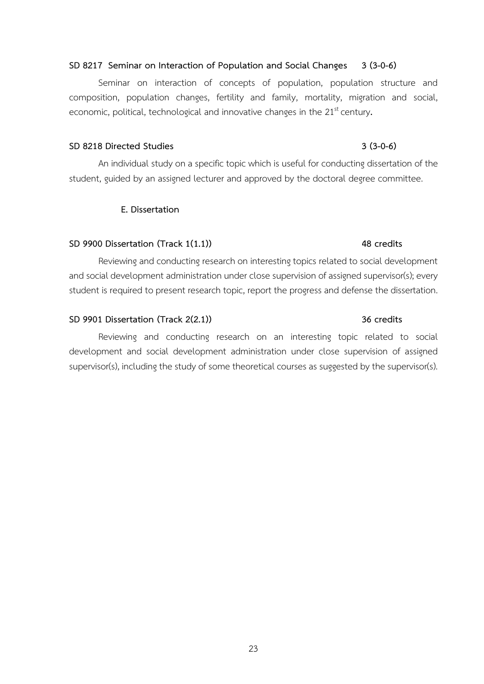### **SD 8217 Seminar on Interaction of Population and Social Changes 3 (3-0-6)**

Seminar on interaction of concepts of population, population structure and composition, population changes, fertility and family, mortality, migration and social, economic, political, technological and innovative changes in the 21<sup>st</sup> century.

### **SD 8218 Directed Studies 3 (3-0-6)**

An individual study on a specific topic which is useful for conducting dissertation of the student, guided by an assigned lecturer and approved by the doctoral degree committee.

### **E. Dissertation**

### **SD 9900 Dissertation (Track 1(1.1)) 48 credits**

Reviewing and conducting research on interesting topics related to social development and social development administration under close supervision of assigned supervisor(s); every student is required to present research topic, report the progress and defense the dissertation.

### **SD 9901 Dissertation (Track 2(2.1)) 36 credits**

Reviewing and conducting research on an interesting topic related to social development and social development administration under close supervision of assigned supervisor(s), including the study of some theoretical courses as suggested by the supervisor(s).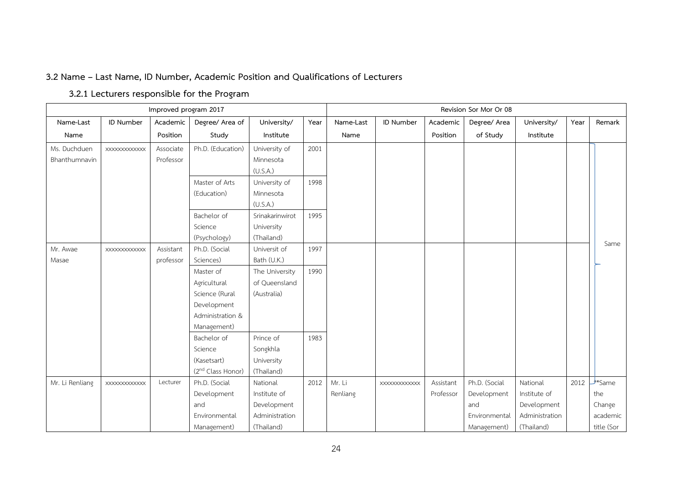### **3.2 Name – Last Name, ID Number, Academic Position and Qualifications of Lecturers**

# **3.2.1 Lecturers responsible for the Program**

|                               |              | Improved program 2017  |                                        |                                             |      | Revision Sor Mor Or 08 |               |           |               |                |      |                |  |
|-------------------------------|--------------|------------------------|----------------------------------------|---------------------------------------------|------|------------------------|---------------|-----------|---------------|----------------|------|----------------|--|
| Name-Last                     | ID Number    | Academic               | Degree/ Area of                        | University/                                 | Year | Name-Last              | ID Number     | Academic  | Degree/ Area  | University/    | Year | Remark         |  |
| Name                          |              | Position               | Study                                  | Institute                                   |      | Name                   |               | Position  | of Study      | Institute      |      |                |  |
| Ms. Duchduen<br>Bhanthumnavin | XXXXXXXXXXXX | Associate<br>Professor | Ph.D. (Education)                      | University of<br>Minnesota<br>(U.S.A.)      | 2001 |                        |               |           |               |                |      |                |  |
|                               |              |                        | Master of Arts<br>(Education)          | University of<br>Minnesota<br>(U.S.A.)      | 1998 |                        |               |           |               |                |      |                |  |
|                               |              |                        | Bachelor of<br>Science<br>(Psychology) | Srinakarinwirot<br>University<br>(Thailand) | 1995 |                        |               |           |               |                |      |                |  |
| Mr. Awae                      | XXXXXXXXXXXX | Assistant              | Ph.D. (Social                          | Universit of                                | 1997 |                        |               |           |               |                |      | Same           |  |
| Masae                         |              | professor              | Sciences)                              | Bath (U.K.)                                 |      |                        |               |           |               |                |      |                |  |
|                               |              |                        | Master of                              | The University                              | 1990 |                        |               |           |               |                |      |                |  |
|                               |              |                        | Agricultural                           | of Queensland                               |      |                        |               |           |               |                |      |                |  |
|                               |              |                        | Science (Rural                         | (Australia)                                 |      |                        |               |           |               |                |      |                |  |
|                               |              |                        | Development                            |                                             |      |                        |               |           |               |                |      |                |  |
|                               |              |                        | Administration &                       |                                             |      |                        |               |           |               |                |      |                |  |
|                               |              |                        | Management)                            |                                             |      |                        |               |           |               |                |      |                |  |
|                               |              |                        | Bachelor of                            | Prince of                                   | 1983 |                        |               |           |               |                |      |                |  |
|                               |              |                        | Science                                | Songkhla                                    |      |                        |               |           |               |                |      |                |  |
|                               |              |                        | (Kasetsart)                            | University                                  |      |                        |               |           |               |                |      |                |  |
|                               |              |                        | (2 <sup>nd</sup> Class Honor)          | (Thailand)                                  |      |                        |               |           |               |                |      |                |  |
| Mr. Li Renliang               | XXXXXXXXXXXX | Lecturer               | Ph.D. (Social                          | National                                    | 2012 | Mr. Li                 | XXXXXXXXXXXXX | Assistant | Ph.D. (Social | National       | 2012 | <u>same</u> ** |  |
|                               |              |                        | Development                            | Institute of                                |      | Renliang               |               | Professor | Development   | Institute of   |      | the            |  |
|                               |              |                        | and                                    | Development                                 |      |                        |               |           | and           | Development    |      | Change         |  |
|                               |              |                        | Environmental                          | Administration                              |      |                        |               |           | Environmental | Administration |      | academic       |  |
|                               |              |                        | Management)                            | (Thailand)                                  |      |                        |               |           | Management)   | (Thailand)     |      | title (Sor     |  |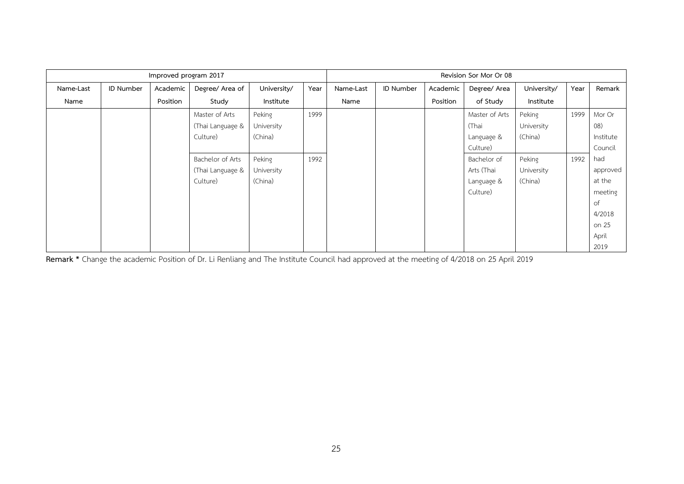|           |           | Improved program 2017 |                  |             |      | Revision Sor Mor Or 08 |                  |          |                |             |      |           |  |
|-----------|-----------|-----------------------|------------------|-------------|------|------------------------|------------------|----------|----------------|-------------|------|-----------|--|
| Name-Last | ID Number | Academic              | Degree/ Area of  | University/ | Year | Name-Last              | <b>ID Number</b> | Academic | Degree/ Area   | University/ | Year | Remark    |  |
| Name      |           | Position              | Study            | Institute   |      | Name                   |                  | Position | of Study       | Institute   |      |           |  |
|           |           |                       | Master of Arts   | Peking      | 1999 |                        |                  |          | Master of Arts | Peking      | 1999 | Mor Or    |  |
|           |           |                       | (Thai Language & | University  |      |                        |                  |          | (Thai          | University  |      | (08)      |  |
|           |           |                       | Culture)         | (China)     |      |                        |                  |          | Language &     | (China)     |      | Institute |  |
|           |           |                       |                  |             |      |                        |                  |          | Culture)       |             |      | Council   |  |
|           |           |                       | Bachelor of Arts | Peking      | 1992 |                        |                  |          | Bachelor of    | Peking      | 1992 | had       |  |
|           |           |                       | (Thai Language & | University  |      |                        |                  |          | Arts (Thai     | University  |      | approved  |  |
|           |           |                       | Culture)         | (China)     |      |                        |                  |          | Language &     | (China)     |      | at the    |  |
|           |           |                       |                  |             |      |                        |                  |          | Culture)       |             |      | meeting   |  |
|           |           |                       |                  |             |      |                        |                  |          |                |             |      | of        |  |
|           |           |                       |                  |             |      |                        |                  |          |                |             |      | 4/2018    |  |
|           |           |                       |                  |             |      |                        |                  |          |                |             |      | on 25     |  |
|           |           |                       |                  |             |      |                        |                  |          |                |             |      | April     |  |
|           |           |                       |                  |             |      |                        |                  |          |                |             |      | 2019      |  |

**Remark \*** Change the academic Position of Dr. Li Renliang and The Institute Council had approved at the meeting of 4/2018 on 25 April 2019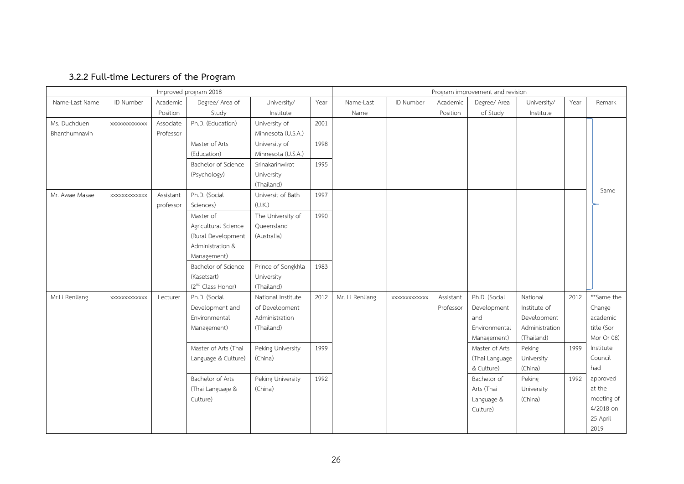# **3.2.2 Full-time Lecturers of the Program**

|                | Improved program 2018 |           |                               |                    |      |                 | Program improvement and revision |           |                |                |      |            |
|----------------|-----------------------|-----------|-------------------------------|--------------------|------|-----------------|----------------------------------|-----------|----------------|----------------|------|------------|
| Name-Last Name | ID Number             | Academic  | Degree/ Area of               | University/        | Year | Name-Last       | ID Number                        | Academic  | Degree/ Area   | University/    | Year | Remark     |
|                |                       | Position  | Study                         | Institute          |      | Name            |                                  | Position  | of Study       | Institute      |      |            |
| Ms. Duchduen   | <b>XXXXXXXXXXXX</b>   | Associate | Ph.D. (Education)             | University of      | 2001 |                 |                                  |           |                |                |      |            |
| Bhanthumnavin  |                       | Professor |                               | Minnesota (U.S.A.) |      |                 |                                  |           |                |                |      |            |
|                |                       |           | Master of Arts                | University of      | 1998 |                 |                                  |           |                |                |      |            |
|                |                       |           | (Education)                   | Minnesota (U.S.A.) |      |                 |                                  |           |                |                |      |            |
|                |                       |           | Bachelor of Science           | Srinakarinwirot    | 1995 |                 |                                  |           |                |                |      |            |
|                |                       |           | (Psychology)                  | University         |      |                 |                                  |           |                |                |      |            |
|                |                       |           |                               | (Thailand)         |      |                 |                                  |           |                |                |      |            |
| Mr. Awae Masae | XXXXXXXXXXXX          | Assistant | Ph.D. (Social                 | Universit of Bath  | 1997 |                 |                                  |           |                |                |      | Same       |
|                |                       | professor | Sciences)                     | (U.K.)             |      |                 |                                  |           |                |                |      |            |
|                |                       |           | Master of                     | The University of  | 1990 |                 |                                  |           |                |                |      |            |
|                |                       |           | Agricultural Science          | Queensland         |      |                 |                                  |           |                |                |      |            |
|                |                       |           | (Rural Development            | (Australia)        |      |                 |                                  |           |                |                |      |            |
|                |                       |           | Administration &              |                    |      |                 |                                  |           |                |                |      |            |
|                |                       |           | Management)                   |                    |      |                 |                                  |           |                |                |      |            |
|                |                       |           | Bachelor of Science           | Prince of Songkhla | 1983 |                 |                                  |           |                |                |      |            |
|                |                       |           | (Kasetsart)                   | University         |      |                 |                                  |           |                |                |      |            |
|                |                       |           | (2 <sup>nd</sup> Class Honor) | (Thailand)         |      |                 |                                  |           |                |                |      |            |
| Mr.Li Renliang | XXXXXXXXXXXX          | Lecturer  | Ph.D. (Social                 | National Institute | 2012 | Mr. Li Renliang | <b>XXXXXXXXXXXXX</b>             | Assistant | Ph.D. (Social  | National       | 2012 | **Same the |
|                |                       |           | Development and               | of Development     |      |                 |                                  | Professor | Development    | Institute of   |      | Change     |
|                |                       |           | Environmental                 | Administration     |      |                 |                                  |           | and            | Development    |      | academic   |
|                |                       |           | Management)                   | (Thailand)         |      |                 |                                  |           | Environmental  | Administration |      | title (Sor |
|                |                       |           |                               |                    |      |                 |                                  |           | Management)    | (Thailand)     |      | Mor Or 08) |
|                |                       |           | Master of Arts (Thai          | Peking University  | 1999 |                 |                                  |           | Master of Arts | Peking         | 1999 | Institute  |
|                |                       |           | Language & Culture)           | (China)            |      |                 |                                  |           | (Thai Language | University     |      | Council    |
|                |                       |           |                               |                    |      |                 |                                  |           | & Culture)     | (China)        |      | had        |
|                |                       |           | Bachelor of Arts              | Peking University  | 1992 |                 |                                  |           | Bachelor of    | Peking         | 1992 | approved   |
|                |                       |           | (Thai Language &              | (China)            |      |                 |                                  |           | Arts (Thai     | University     |      | at the     |
|                |                       |           | Culture)                      |                    |      |                 |                                  |           | Language &     | (China)        |      | meeting of |
|                |                       |           |                               |                    |      |                 |                                  |           | Culture)       |                |      | 4/2018 on  |
|                |                       |           |                               |                    |      |                 |                                  |           |                |                |      | 25 April   |
|                |                       |           |                               |                    |      |                 |                                  |           |                |                |      | 2019       |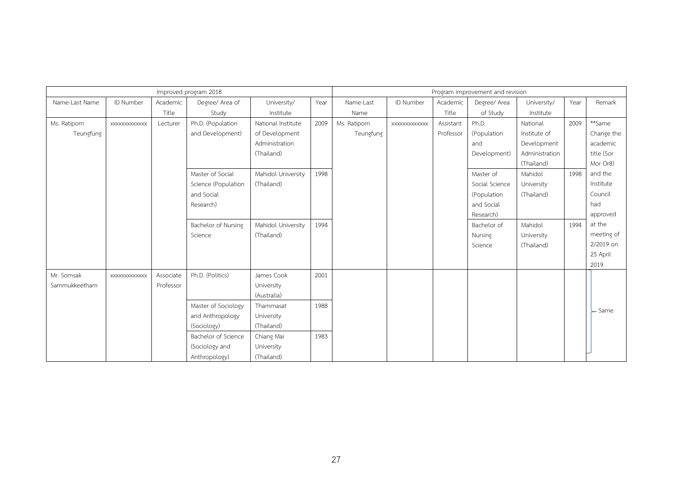|                |                      |           | Improved program 2018 |                    |      | Program improvement and revision |              |           |                |                |      |                        |
|----------------|----------------------|-----------|-----------------------|--------------------|------|----------------------------------|--------------|-----------|----------------|----------------|------|------------------------|
| Name-Last Name | ID Number            | Academic  | Degree/ Area of       | University/        | Year | Name-Last                        | ID Number    | Academic  | Degree/ Area   | University/    | Year | Remark                 |
|                |                      | Title     | Study                 | Institute          |      | Name                             |              | Title     | of Study       | Institute      |      |                        |
| Ms. Ratiporn   | <b>XXXXXXXXXXXXX</b> | Lecturer  | Ph.D. (Population     | National Institute | 2009 | Ms. Ratiporn                     | XXXXXXXXXXXX | Assistant | Ph.D.          | National       | 2009 | **Same                 |
| Teungfung      |                      |           | and Development)      | of Development     |      | Teungfung                        |              | Professor | (Population    | Institute of   |      | Change the             |
|                |                      |           |                       | Administration     |      |                                  |              |           | and            | Development    |      | academic               |
|                |                      |           |                       | (Thailand)         |      |                                  |              |           | Development)   | Administration |      | title (Sor             |
|                |                      |           |                       |                    |      |                                  |              |           |                | (Thailand)     |      | Mor Or8)               |
|                |                      |           | Master of Social      | Mahidol University | 1998 |                                  |              |           | Master of      | Mahidol        | 1998 | and the                |
|                |                      |           | Science (Population   | (Thailand)         |      |                                  |              |           | Social Science | University     |      | Institute              |
|                |                      |           | and Social            |                    |      |                                  |              |           | (Population    | (Thailand)     |      | Council                |
|                |                      |           | Research)             |                    |      |                                  |              |           | and Social     |                |      | had                    |
|                |                      |           |                       |                    |      |                                  |              |           | Research)      |                |      | approved               |
|                |                      |           | Bachelor of Nursing   | Mahidol University | 1994 |                                  |              |           | Bachelor of    | Mahidol        | 1994 | at the                 |
|                |                      |           | Science               | (Thailand)         |      |                                  |              |           | Nursing        | University     |      | meeting of             |
|                |                      |           |                       |                    |      |                                  |              |           | Science        | (Thailand)     |      | 2/2019 on              |
|                |                      |           |                       |                    |      |                                  |              |           |                |                |      | 25 April               |
|                |                      |           |                       |                    |      |                                  |              |           |                |                |      | 2019                   |
| Mr. Somsak     | XXXXXXXXXXXXX        | Associate | Ph.D. (Politics)      | James Cook         | 2001 |                                  |              |           |                |                |      |                        |
| Sammukkeetham  |                      | Professor |                       | University         |      |                                  |              |           |                |                |      |                        |
|                |                      |           |                       | (Australia)        |      |                                  |              |           |                |                |      |                        |
|                |                      |           | Master of Sociology   | Thammasat          | 1988 |                                  |              |           |                |                |      | $\mathsf{\simeq}$ Same |
|                |                      |           | and Anthropology      | University         |      |                                  |              |           |                |                |      |                        |
|                |                      |           | (Sociology)           | (Thailand)         |      |                                  |              |           |                |                |      |                        |
|                |                      |           | Bachelor of Science   | Chiang Mai         | 1983 |                                  |              |           |                |                |      |                        |
|                |                      |           | (Sociology and        | University         |      |                                  |              |           |                |                |      |                        |
|                |                      |           | Anthropology)         | (Thailand)         |      |                                  |              |           |                |                |      |                        |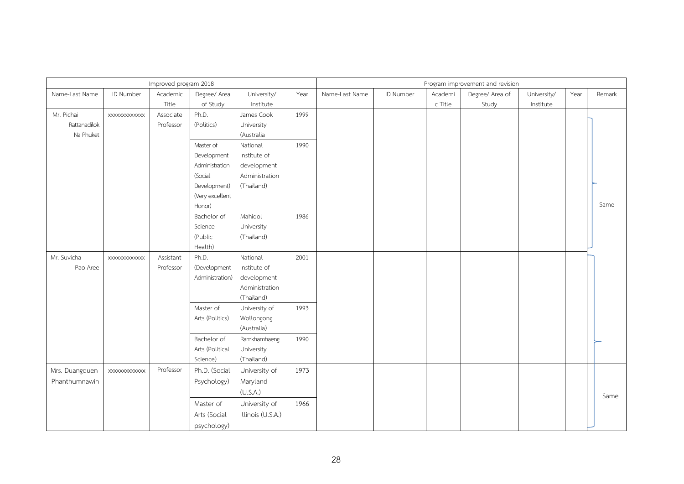|                |                     | Improved program 2018 |                 |                   |      | Program improvement and revision |           |         |                 |             |      |        |  |
|----------------|---------------------|-----------------------|-----------------|-------------------|------|----------------------------------|-----------|---------|-----------------|-------------|------|--------|--|
| Name-Last Name | ID Number           | Academic              | Degree/ Area    | University/       | Year | Name-Last Name                   | ID Number | Academi | Degree/ Area of | University/ | Year | Remark |  |
|                |                     | Title                 | of Study        | Institute         |      |                                  |           | c Title | Study           | Institute   |      |        |  |
| Mr. Pichai     | XXXXXXXXXXXXX       | Associate             | Ph.D.           | James Cook        | 1999 |                                  |           |         |                 |             |      |        |  |
| Rattanadilok   |                     | Professor             | (Politics)      | University        |      |                                  |           |         |                 |             |      |        |  |
| Na Phuket      |                     |                       |                 | (Australia        |      |                                  |           |         |                 |             |      |        |  |
|                |                     |                       | Master of       | National          | 1990 |                                  |           |         |                 |             |      |        |  |
|                |                     |                       | Development     | Institute of      |      |                                  |           |         |                 |             |      |        |  |
|                |                     |                       | Administration  | development       |      |                                  |           |         |                 |             |      |        |  |
|                |                     |                       | (Social         | Administration    |      |                                  |           |         |                 |             |      |        |  |
|                |                     |                       | Development)    | (Thailand)        |      |                                  |           |         |                 |             |      |        |  |
|                |                     |                       | (Very excellent |                   |      |                                  |           |         |                 |             |      |        |  |
|                |                     |                       | Honor)          |                   |      |                                  |           |         |                 |             |      | Same   |  |
|                |                     |                       | Bachelor of     | Mahidol           | 1986 |                                  |           |         |                 |             |      |        |  |
|                |                     |                       | Science         | University        |      |                                  |           |         |                 |             |      |        |  |
|                |                     |                       | (Public         | (Thailand)        |      |                                  |           |         |                 |             |      |        |  |
|                |                     |                       | Health)         |                   |      |                                  |           |         |                 |             |      |        |  |
| Mr. Suvicha    | XXXXXXXXXXXXX       | Assistant             | Ph.D.           | National          | 2001 |                                  |           |         |                 |             |      |        |  |
| Pao-Aree       |                     | Professor             | (Development    | Institute of      |      |                                  |           |         |                 |             |      |        |  |
|                |                     |                       | Administration) | development       |      |                                  |           |         |                 |             |      |        |  |
|                |                     |                       |                 | Administration    |      |                                  |           |         |                 |             |      |        |  |
|                |                     |                       |                 | (Thailand)        |      |                                  |           |         |                 |             |      |        |  |
|                |                     |                       | Master of       | University of     | 1993 |                                  |           |         |                 |             |      |        |  |
|                |                     |                       | Arts (Politics) | Wollongong        |      |                                  |           |         |                 |             |      |        |  |
|                |                     |                       |                 | (Australia)       |      |                                  |           |         |                 |             |      |        |  |
|                |                     |                       | Bachelor of     | Ramkhamhaeng      | 1990 |                                  |           |         |                 |             |      |        |  |
|                |                     |                       | Arts (Political | University        |      |                                  |           |         |                 |             |      |        |  |
|                |                     |                       | Science)        | (Thailand)        |      |                                  |           |         |                 |             |      |        |  |
| Mrs. Duangduen | <b>XXXXXXXXXXXX</b> | Professor             | Ph.D. (Social   | University of     | 1973 |                                  |           |         |                 |             |      |        |  |
| Phanthumnawin  |                     |                       | Psychology)     | Maryland          |      |                                  |           |         |                 |             |      |        |  |
|                |                     |                       |                 | (U.S.A.)          |      |                                  |           |         |                 |             |      | Same   |  |
|                |                     |                       | Master of       | University of     | 1966 |                                  |           |         |                 |             |      |        |  |
|                |                     |                       | Arts (Social    | Illinois (U.S.A.) |      |                                  |           |         |                 |             |      |        |  |
|                |                     |                       | psychology)     |                   |      |                                  |           |         |                 |             |      |        |  |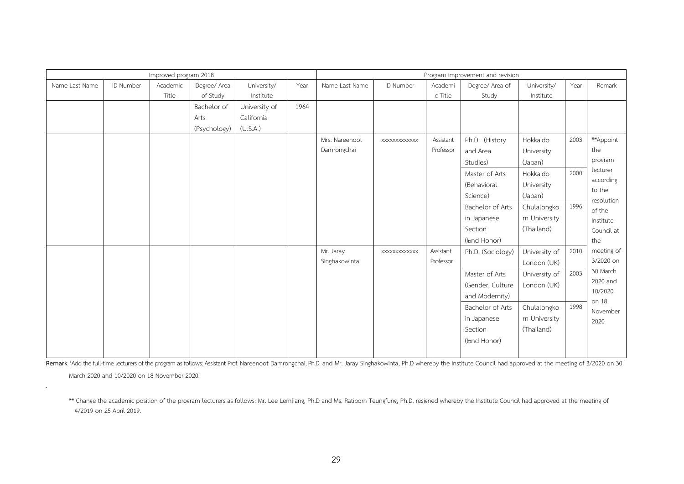|                |           | Improved program 2018 |                                     |                                         |      | Program improvement and revision |              |                        |                                                                                                                        |                                                                                                        |                      |                                                                                                     |
|----------------|-----------|-----------------------|-------------------------------------|-----------------------------------------|------|----------------------------------|--------------|------------------------|------------------------------------------------------------------------------------------------------------------------|--------------------------------------------------------------------------------------------------------|----------------------|-----------------------------------------------------------------------------------------------------|
| Name-Last Name | ID Number | Academic<br>Title     | Degree/ Area<br>of Study            | University/<br>Institute                | Year | Name-Last Name                   | ID Number    | Academi<br>c Title     | Degree/ Area of<br>Study                                                                                               | University/<br>Institute                                                                               | Year                 | Remark                                                                                              |
|                |           |                       | Bachelor of<br>Arts<br>(Psychology) | University of<br>California<br>(U.S.A.) | 1964 |                                  |              |                        |                                                                                                                        |                                                                                                        |                      |                                                                                                     |
|                |           |                       |                                     |                                         |      | Mrs. Nareenoot<br>Damrongchai    | XXXXXXXXXXXX | Assistant<br>Professor | Ph.D. (History<br>and Area<br>Studies)<br>Master of Arts<br>(Behavioral<br>Science)<br>Bachelor of Arts<br>in Japanese | Hokkaido<br>University<br>(Japan)<br>Hokkaido<br>University<br>(Japan)<br>Chulalongko<br>rn University | 2003<br>2000<br>1996 | **Appoint<br>the<br>program<br>lecturer<br>according<br>to the<br>resolution<br>of the<br>Institute |
|                |           |                       |                                     |                                         |      |                                  |              |                        | Section<br>(lond Honor)                                                                                                | (Thailand)                                                                                             |                      | Council at<br>the                                                                                   |
|                |           |                       |                                     |                                         |      | Mr. Jaray<br>Singhakowinta       | XXXXXXXXXXXX | Assistant<br>Professor | Ph.D. (Sociology)                                                                                                      | University of<br>London (UK)                                                                           | 2010                 | meeting of<br>3/2020 on                                                                             |
|                |           |                       |                                     |                                         |      |                                  |              |                        | Master of Arts<br>(Gender, Culture<br>and Modernity)                                                                   | University of<br>London (UK)                                                                           | 2003                 | 30 March<br>2020 and<br>10/2020<br>on 18                                                            |
|                |           |                       |                                     |                                         |      |                                  |              |                        | Bachelor of Arts<br>in Japanese<br>Section<br>(lond Honor)                                                             | Chulalongko<br>rn University<br>(Thailand)                                                             | 1998                 | November<br>2020                                                                                    |

Remark \*Add the full-time lecturers of the program as follows: Assistant Prof. Nareenoot Damrongchai, Ph.D. and Mr. Jaray Singhakowinta, Ph.D whereby the Institute Council had approved at the meeting of 3/2020 on 30 March 2020 and 10/2020 on 18 November 2020.

.

\*\* Change the academic position of the program lecturers as follows: Mr. Lee Lernliang, Ph.D and Ms. Ratiporn Teungfung, Ph.D. resigned whereby the Institute Council had approved at the meeting of 4/2019 on 25 April 2019.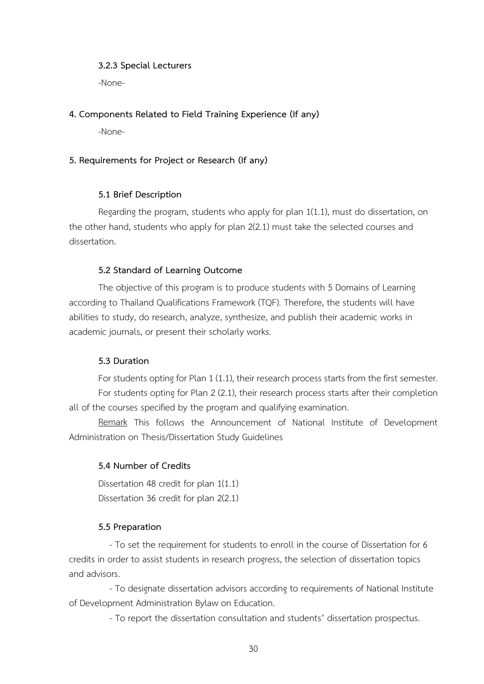### **3.2.3 Special Lecturers**

-None-

### **4. Components Related to Field Training Experience (If any)**

-None-

### **5. Requirements for Project or Research (If any)**

### **5.1 Brief Description**

Regarding the program, students who apply for plan 1(1.1), must do dissertation, on the other hand, students who apply for plan 2(2.1) must take the selected courses and dissertation.

### **5.2 Standard of Learning Outcome**

The objective of this program is to produce students with 5 Domains of Learning according to Thailand Qualifications Framework (TQF). Therefore, the students will have abilities to study, do research, analyze, synthesize, and publish their academic works in academic journals, or present their scholarly works.

### **5.3 Duration**

For students opting for Plan 1 (1.1), their research process starts from the first semester. For students opting for Plan 2 (2.1), their research process starts after their completion all of the courses specified by the program and qualifying examination.

Remark This follows the Announcement of National Institute of Development Administration on Thesis/Dissertation Study Guidelines

### **5.4 Number of Credits**

Dissertation 48 credit for plan 1(1.1) Dissertation 36 credit for plan 2(2.1)

### **5.5 Preparation**

- To set the requirement for students to enroll in the course of Dissertation for 6 credits in order to assist students in research progress, the selection of dissertation topics and advisors.

- To designate dissertation advisors according to requirements of National Institute of Development Administration Bylaw on Education.

- To report the dissertation consultation and students' dissertation prospectus.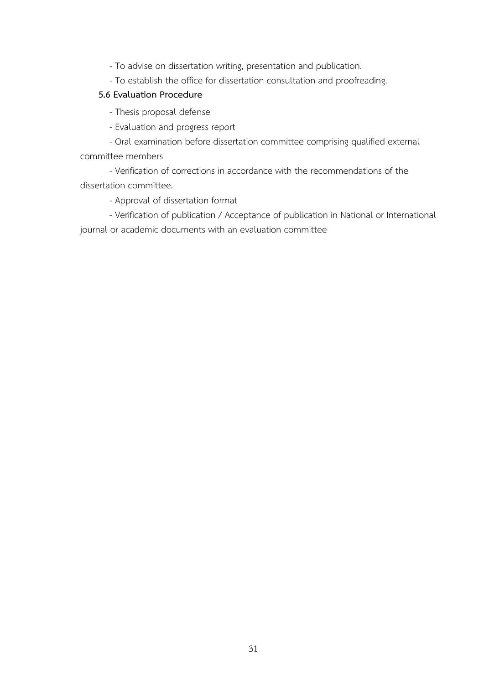- To advise on dissertation writing, presentation and publication.

- To establish the office for dissertation consultation and proofreading.

### **5.6 Evaluation Procedure**

- Thesis proposal defense

- Evaluation and progress report
- Oral examination before dissertation committee comprising qualified external committee members

- Verification of corrections in accordance with the recommendations of the dissertation committee.

- Approval of dissertation format

- Verification of publication / Acceptance of publication in National or International journal or academic documents with an evaluation committee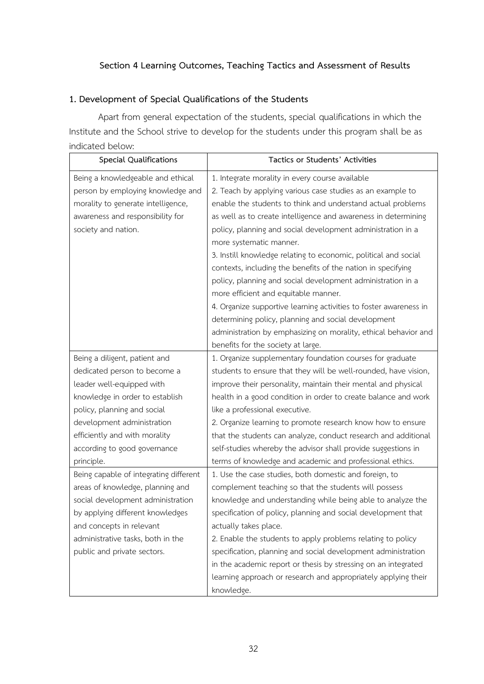### **Section 4 Learning Outcomes, Teaching Tactics and Assessment of Results**

### **1. Development of Special Qualifications of the Students**

Apart from general expectation of the students, special qualifications in which the Institute and the School strive to develop for the students under this program shall be as indicated below:

| <b>Special Qualifications</b>          | Tactics or Students' Activities                                   |
|----------------------------------------|-------------------------------------------------------------------|
| Being a knowledgeable and ethical      | 1. Integrate morality in every course available                   |
| person by employing knowledge and      | 2. Teach by applying various case studies as an example to        |
| morality to generate intelligence,     | enable the students to think and understand actual problems       |
| awareness and responsibility for       | as well as to create intelligence and awareness in determining    |
| society and nation.                    | policy, planning and social development administration in a       |
|                                        | more systematic manner.                                           |
|                                        | 3. Instill knowledge relating to economic, political and social   |
|                                        | contexts, including the benefits of the nation in specifying      |
|                                        | policy, planning and social development administration in a       |
|                                        | more efficient and equitable manner.                              |
|                                        | 4. Organize supportive learning activities to foster awareness in |
|                                        | determining policy, planning and social development               |
|                                        | administration by emphasizing on morality, ethical behavior and   |
|                                        | benefits for the society at large.                                |
| Being a diligent, patient and          | 1. Organize supplementary foundation courses for graduate         |
| dedicated person to become a           | students to ensure that they will be well-rounded, have vision,   |
| leader well-equipped with              | improve their personality, maintain their mental and physical     |
| knowledge in order to establish        | health in a good condition in order to create balance and work    |
| policy, planning and social            | like a professional executive.                                    |
| development administration             | 2. Organize learning to promote research know how to ensure       |
| efficiently and with morality          | that the students can analyze, conduct research and additional    |
| according to good governance           | self-studies whereby the advisor shall provide suggestions in     |
| principle.                             | terms of knowledge and academic and professional ethics.          |
| Being capable of integrating different | 1. Use the case studies, both domestic and foreign, to            |
| areas of knowledge, planning and       | complement teaching so that the students will possess             |
| social development administration      | knowledge and understanding while being able to analyze the       |
| by applying different knowledges       | specification of policy, planning and social development that     |
| and concepts in relevant               | actually takes place.                                             |
| administrative tasks, both in the      | 2. Enable the students to apply problems relating to policy       |
| public and private sectors.            | specification, planning and social development administration     |
|                                        | in the academic report or thesis by stressing on an integrated    |
|                                        | learning approach or research and appropriately applying their    |
|                                        | knowledge.                                                        |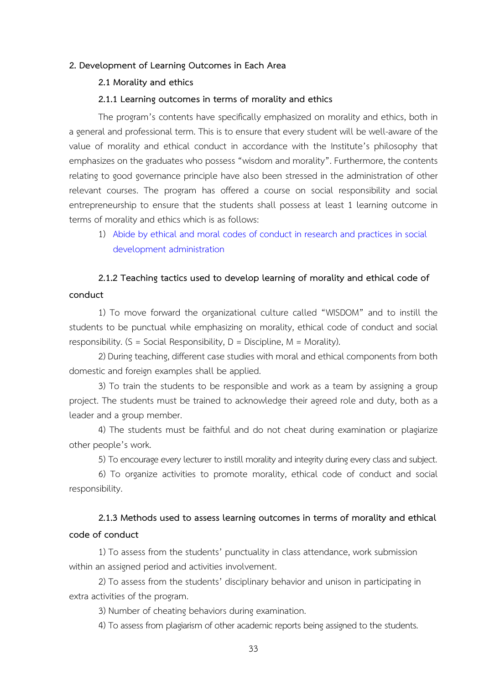### **2. Development of Learning Outcomes in Each Area**

### **2.1 Morality and ethics**

### **2.1.1 Learning outcomes in terms of morality and ethics**

The program's contents have specifically emphasized on morality and ethics, both in a general and professional term. This is to ensure that every student will be well-aware of the value of morality and ethical conduct in accordance with the Institute's philosophy that emphasizes on the graduates who possess "wisdom and morality". Furthermore, the contents relating to good governance principle have also been stressed in the administration of other relevant courses. The program has offered a course on social responsibility and social entrepreneurship to ensure that the students shall possess at least 1 learning outcome in terms of morality and ethics which is as follows:

1) Abide by ethical and moral codes of conduct in research and practices in social development administration

# **2.1.2 Teaching tactics used to develop learning of morality and ethical code of conduct**

1) To move forward the organizational culture called "WISDOM" and to instill the students to be punctual while emphasizing on morality, ethical code of conduct and social responsibility.  $(S = Social Responsibility, D = Discpline, M = Morality)$ .

2) During teaching, different case studies with moral and ethical components from both domestic and foreign examples shall be applied.

3) To train the students to be responsible and work as a team by assigning a group project. The students must be trained to acknowledge their agreed role and duty, both as a leader and a group member.

4) The students must be faithful and do not cheat during examination or plagiarize other people's work.

5) To encourage every lecturer to instill morality and integrity during every class and subject.

6) To organize activities to promote morality, ethical code of conduct and social responsibility.

## **2.1.3 Methods used to assess learning outcomes in terms of morality and ethical code of conduct**

1) To assess from the students' punctuality in class attendance, work submission within an assigned period and activities involvement.

2) To assess from the students' disciplinary behavior and unison in participating in extra activities of the program.

3) Number of cheating behaviors during examination.

4) To assess from plagiarism of other academic reports being assigned to the students.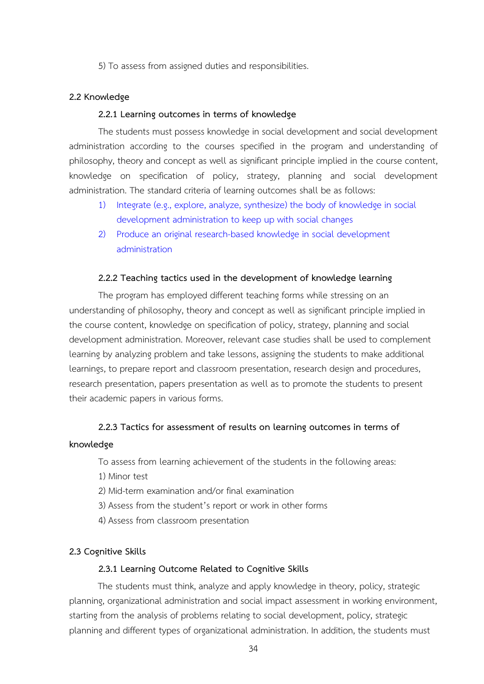5) To assess from assigned duties and responsibilities.

### **2.2 Knowledge**

### **2.2.1 Learning outcomes in terms of knowledge**

The students must possess knowledge in social development and social development administration according to the courses specified in the program and understanding of philosophy, theory and concept as well as significant principle implied in the course content, knowledge on specification of policy, strategy, planning and social development administration. The standard criteria of learning outcomes shall be as follows:

- 1) Integrate (e.g., explore, analyze, synthesize) the body of knowledge in social development administration to keep up with social changes
- 2) Produce an original research-based knowledge in social development administration

### **2.2.2 Teaching tactics used in the development of knowledge learning**

The program has employed different teaching forms while stressing on an understanding of philosophy, theory and concept as well as significant principle implied in the course content, knowledge on specification of policy, strategy, planning and social development administration. Moreover, relevant case studies shall be used to complement learning by analyzing problem and take lessons, assigning the students to make additional learnings, to prepare report and classroom presentation, research design and procedures, research presentation, papers presentation as well as to promote the students to present their academic papers in various forms.

# **2.2.3 Tactics for assessment of results on learning outcomes in terms of knowledge**

To assess from learning achievement of the students in the following areas:

- 1) Minor test
- 2) Mid-term examination and/or final examination
- 3) Assess from the student's report or work in other forms
- 4) Assess from classroom presentation

### **2.3 Cognitive Skills**

### **2.3.1 Learning Outcome Related to Cognitive Skills**

The students must think, analyze and apply knowledge in theory, policy, strategic planning, organizational administration and social impact assessment in working environment, starting from the analysis of problems relating to social development, policy, strategic planning and different types of organizational administration. In addition, the students must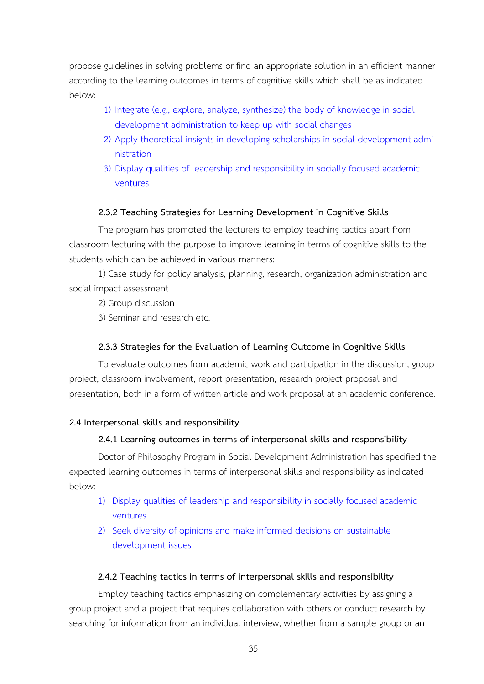propose guidelines in solving problems or find an appropriate solution in an efficient manner according to the learning outcomes in terms of cognitive skills which shall be as indicated below:

- 1) Integrate (e.g., explore, analyze, synthesize) the body of knowledge in social development administration to keep up with social changes
- 2) Apply theoretical insights in developing scholarships in social development admi nistration
- 3) Display qualities of leadership and responsibility in socially focused academic ventures

### **2.3.2 Teaching Strategies for Learning Development in Cognitive Skills**

The program has promoted the lecturers to employ teaching tactics apart from classroom lecturing with the purpose to improve learning in terms of cognitive skills to the students which can be achieved in various manners:

1) Case study for policy analysis, planning, research, organization administration and social impact assessment

2) Group discussion

3) Seminar and research etc.

### **2.3.3 Strategies for the Evaluation of Learning Outcome in Cognitive Skills**

To evaluate outcomes from academic work and participation in the discussion, group project, classroom involvement, report presentation, research project proposal and presentation, both in a form of written article and work proposal at an academic conference.

### **2.4 Interpersonal skills and responsibility**

### **2.4.1 Learning outcomes in terms of interpersonal skills and responsibility**

Doctor of Philosophy Program in Social Development Administration has specified the expected learning outcomes in terms of interpersonal skills and responsibility as indicated below:

- 1) Display qualities of leadership and responsibility in socially focused academic ventures
- 2) Seek diversity of opinions and make informed decisions on sustainable development issues

### **2.4.2 Teaching tactics in terms of interpersonal skills and responsibility**

Employ teaching tactics emphasizing on complementary activities by assigning a group project and a project that requires collaboration with others or conduct research by searching for information from an individual interview, whether from a sample group or an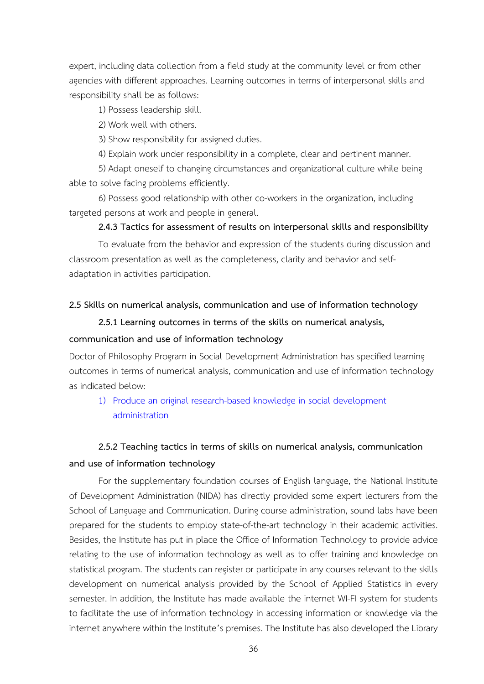expert, including data collection from a field study at the community level or from other agencies with different approaches. Learning outcomes in terms of interpersonal skills and responsibility shall be as follows:

1) Possess leadership skill.

2) Work well with others.

3) Show responsibility for assigned duties.

4) Explain work under responsibility in a complete, clear and pertinent manner.

5) Adapt oneself to changing circumstances and organizational culture while being able to solve facing problems efficiently.

6) Possess good relationship with other co-workers in the organization, including targeted persons at work and people in general.

### **2.4.3 Tactics for assessment of results on interpersonal skills and responsibility**

To evaluate from the behavior and expression of the students during discussion and classroom presentation as well as the completeness, clarity and behavior and selfadaptation in activities participation.

### **2.5 Skills on numerical analysis, communication and use of information technology**

**2.5.1 Learning outcomes in terms of the skills on numerical analysis,** 

### **communication and use of information technology**

Doctor of Philosophy Program in Social Development Administration has specified learning outcomes in terms of numerical analysis, communication and use of information technology as indicated below:

1) Produce an original research-based knowledge in social development administration

# **2.5.2 Teaching tactics in terms of skills on numerical analysis, communication and use of information technology**

For the supplementary foundation courses of English language, the National Institute of Development Administration (NIDA) has directly provided some expert lecturers from the School of Language and Communication. During course administration, sound labs have been prepared for the students to employ state-of-the-art technology in their academic activities. Besides, the Institute has put in place the Office of Information Technology to provide advice relating to the use of information technology as well as to offer training and knowledge on statistical program. The students can register or participate in any courses relevant to the skills development on numerical analysis provided by the School of Applied Statistics in every semester. In addition, the Institute has made available the internet WI-FI system for students to facilitate the use of information technology in accessing information or knowledge via the internet anywhere within the Institute's premises. The Institute has also developed the Library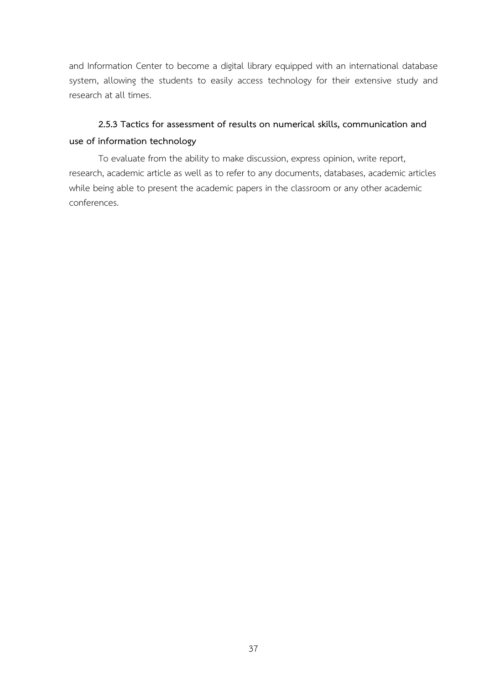and Information Center to become a digital library equipped with an international database system, allowing the students to easily access technology for their extensive study and research at all times.

# **2.5.3 Tactics for assessment of results on numerical skills, communication and use of information technology**

To evaluate from the ability to make discussion, express opinion, write report, research, academic article as well as to refer to any documents, databases, academic articles while being able to present the academic papers in the classroom or any other academic conferences.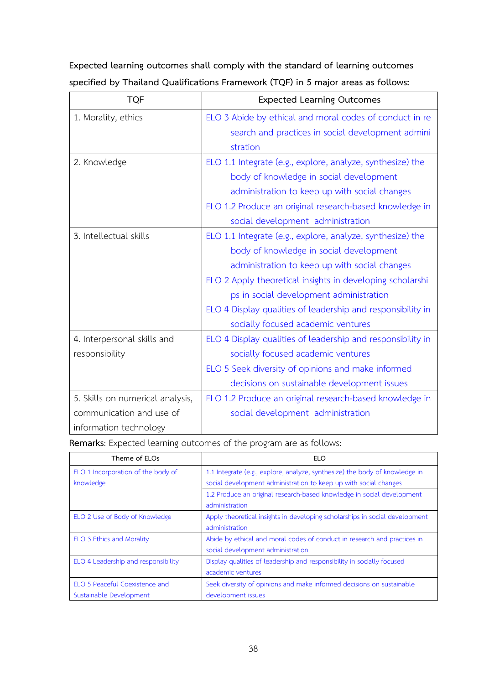| <b>TQF</b>                       | <b>Expected Learning Outcomes</b>                           |
|----------------------------------|-------------------------------------------------------------|
| 1. Morality, ethics              | ELO 3 Abide by ethical and moral codes of conduct in re     |
|                                  | search and practices in social development admini           |
|                                  | stration                                                    |
| 2. Knowledge                     | ELO 1.1 Integrate (e.g., explore, analyze, synthesize) the  |
|                                  | body of knowledge in social development                     |
|                                  | administration to keep up with social changes               |
|                                  | ELO 1.2 Produce an original research-based knowledge in     |
|                                  | social development administration                           |
| 3. Intellectual skills           | ELO 1.1 Integrate (e.g., explore, analyze, synthesize) the  |
|                                  | body of knowledge in social development                     |
|                                  | administration to keep up with social changes               |
|                                  | ELO 2 Apply theoretical insights in developing scholarshi   |
|                                  | ps in social development administration                     |
|                                  | ELO 4 Display qualities of leadership and responsibility in |
|                                  | socially focused academic ventures                          |
| 4. Interpersonal skills and      | ELO 4 Display qualities of leadership and responsibility in |
| responsibility                   | socially focused academic ventures                          |
|                                  | ELO 5 Seek diversity of opinions and make informed          |
|                                  | decisions on sustainable development issues                 |
| 5. Skills on numerical analysis, | ELO 1.2 Produce an original research-based knowledge in     |
| communication and use of         | social development administration                           |
| information technology           |                                                             |

**Expected learning outcomes shall comply with the standard of learning outcomes specified by Thailand Qualifications Framework (TQF) in 5 major areas as follows:**

**Remarks**: Expected learning outcomes of the program are as follows:

| Theme of ELOs                       | <b>ELO</b>                                                                  |
|-------------------------------------|-----------------------------------------------------------------------------|
| ELO 1 Incorporation of the body of  | 1.1 Integrate (e.g., explore, analyze, synthesize) the body of knowledge in |
| knowledge                           | social development administration to keep up with social changes            |
|                                     | 1.2 Produce an original research-based knowledge in social development      |
|                                     | administration                                                              |
| ELO 2 Use of Body of Knowledge      | Apply theoretical insights in developing scholarships in social development |
|                                     | administration                                                              |
| <b>ELO 3 Ethics and Morality</b>    | Abide by ethical and moral codes of conduct in research and practices in    |
|                                     | social development administration                                           |
| ELO 4 Leadership and responsibility | Display qualities of leadership and responsibility in socially focused      |
|                                     | academic ventures                                                           |
| ELO 5 Peaceful Coexistence and      | Seek diversity of opinions and make informed decisions on sustainable       |
| Sustainable Development             | development issues                                                          |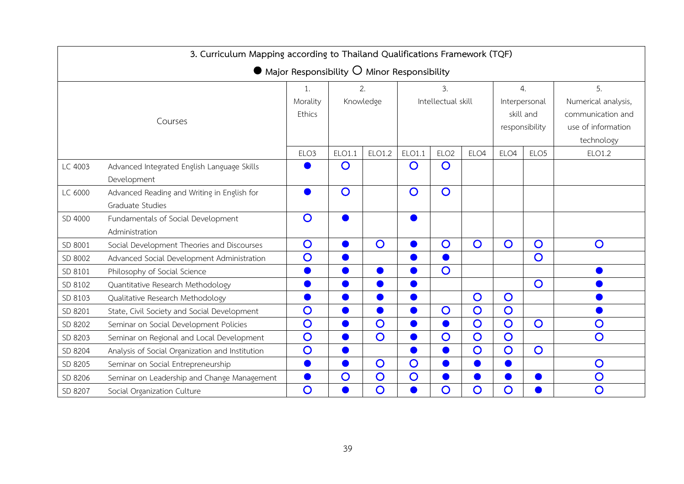| 3. Curriculum Mapping according to Thailand Qualifications Framework (TQF) |                                                                 |                  |                |                 |                |                          |                  |                  |                                                                  |                                                                                    |  |
|----------------------------------------------------------------------------|-----------------------------------------------------------------|------------------|----------------|-----------------|----------------|--------------------------|------------------|------------------|------------------------------------------------------------------|------------------------------------------------------------------------------------|--|
|                                                                            | $\bullet$ Major Responsibility $\circ$ Minor Responsibility     |                  |                |                 |                |                          |                  |                  |                                                                  |                                                                                    |  |
| Courses                                                                    |                                                                 |                  |                | 2.<br>Knowledge |                | 3.<br>Intellectual skill |                  |                  | $\mathfrak{a}$ .<br>Interpersonal<br>skill and<br>responsibility | 5.<br>Numerical analysis,<br>communication and<br>use of information<br>technology |  |
|                                                                            |                                                                 | ELO <sub>3</sub> | ELO1.1         | ELO1.2          | ELO1.1         | ELO <sub>2</sub>         | ELO <sub>4</sub> | ELO <sub>4</sub> | ELO <sub>5</sub>                                                 | ELO1.2                                                                             |  |
| LC 4003                                                                    | Advanced Integrated English Language Skills<br>Development      |                  | $\mathbf O$    |                 | $\mathbf O$    | $\overline{O}$           |                  |                  |                                                                  |                                                                                    |  |
| LC 6000                                                                    | Advanced Reading and Writing in English for<br>Graduate Studies |                  | $\overline{O}$ |                 | $\overline{O}$ | $\overline{O}$           |                  |                  |                                                                  |                                                                                    |  |
| SD 4000                                                                    | Fundamentals of Social Development<br>Administration            | $\overline{O}$   |                |                 | $\bullet$      |                          |                  |                  |                                                                  |                                                                                    |  |
| SD 8001                                                                    | Social Development Theories and Discourses                      | $\overline{O}$   |                | $\overline{O}$  |                | $\overline{O}$           | $\overline{O}$   | $\overline{O}$   | $\overline{O}$                                                   | $\overline{O}$                                                                     |  |
| SD 8002                                                                    | Advanced Social Development Administration                      | $\overline{O}$   |                |                 |                |                          |                  |                  | Ō                                                                |                                                                                    |  |
| SD 8101                                                                    | Philosophy of Social Science                                    |                  |                |                 |                | $\overline{O}$           |                  |                  |                                                                  |                                                                                    |  |
| SD 8102                                                                    | Quantitative Research Methodology                               |                  |                |                 |                |                          |                  |                  | $\overline{O}$                                                   |                                                                                    |  |
| SD 8103                                                                    | Qualitative Research Methodology                                |                  |                |                 |                |                          | $\overline{O}$   | $\mathbf O$      |                                                                  |                                                                                    |  |
| SD 8201                                                                    | State, Civil Society and Social Development                     | $\overline{O}$   |                |                 |                | $\overline{O}$           | $\overline{O}$   | $\overline{O}$   |                                                                  |                                                                                    |  |
| SD 8202                                                                    | Seminar on Social Development Policies                          | $\overline{O}$   |                | $\overline{O}$  |                |                          | $\overline{O}$   | $\overline{O}$   | $\overline{O}$                                                   | $\overline{O}$                                                                     |  |
| SD 8203                                                                    | Seminar on Regional and Local Development                       | $\overline{O}$   |                | $\overline{O}$  |                | $\overline{O}$           | $\overline{O}$   | $\overline{O}$   |                                                                  | $\overline{O}$                                                                     |  |
| SD 8204                                                                    | Analysis of Social Organization and Institution                 | $\overline{O}$   |                |                 |                |                          | $\overline{O}$   | $\overline{O}$   | $\overline{O}$                                                   |                                                                                    |  |
| SD 8205                                                                    | Seminar on Social Entrepreneurship                              |                  |                | $\overline{O}$  | $\overline{O}$ | ●                        |                  |                  |                                                                  | $\mathbf O$                                                                        |  |
| SD 8206                                                                    | Seminar on Leadership and Change Management                     |                  | $\overline{O}$ | $\overline{O}$  | $\overline{O}$ |                          |                  |                  |                                                                  | $\overline{O}$                                                                     |  |
| SD 8207                                                                    | Social Organization Culture                                     | $\overline{O}$   |                | $\overline{O}$  |                | $\overline{O}$           | $\overline{O}$   | $\mathbf O$      |                                                                  | $\overline{O}$                                                                     |  |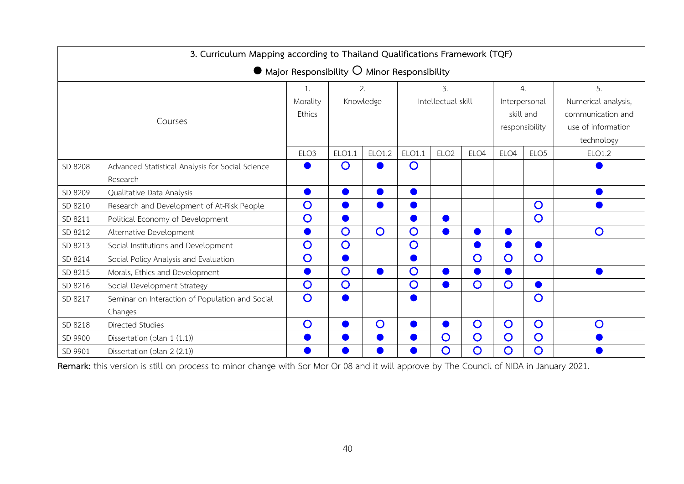| 3. Curriculum Mapping according to Thailand Qualifications Framework (TQF) |                                                             |                  |                |                |                |                    |                  |                  |                    |                     |  |  |
|----------------------------------------------------------------------------|-------------------------------------------------------------|------------------|----------------|----------------|----------------|--------------------|------------------|------------------|--------------------|---------------------|--|--|
|                                                                            | $\bullet$ Major Responsibility $\circ$ Minor Responsibility |                  |                |                |                |                    |                  |                  |                    |                     |  |  |
|                                                                            |                                                             | 1.               |                | 2.             |                | 3.                 |                  |                  | $\mathfrak{a}$ .   | 5.                  |  |  |
|                                                                            |                                                             | Morality         | Knowledge      |                |                | Intellectual skill |                  |                  | Interpersonal      | Numerical analysis, |  |  |
|                                                                            | Ethics                                                      |                  |                |                |                |                    |                  | skill and        | communication and  |                     |  |  |
|                                                                            |                                                             |                  |                |                |                |                    |                  | responsibility   | use of information |                     |  |  |
|                                                                            |                                                             |                  |                |                |                |                    |                  |                  |                    | technology          |  |  |
|                                                                            |                                                             | ELO <sub>3</sub> | ELO1.1         | ELO1.2         | ELO1.1         | ELO <sub>2</sub>   | ELO <sub>4</sub> | ELO <sub>4</sub> | ELO <sub>5</sub>   | ELO1.2              |  |  |
| SD 8208                                                                    | Advanced Statistical Analysis for Social Science            |                  | $\mathsf{O}$   |                | $\mathsf{O}$   |                    |                  |                  |                    |                     |  |  |
|                                                                            | Research                                                    |                  |                |                |                |                    |                  |                  |                    |                     |  |  |
| SD 8209                                                                    | Qualitative Data Analysis                                   |                  |                |                |                |                    |                  |                  |                    |                     |  |  |
| SD 8210                                                                    | Research and Development of At-Risk People                  | $\overline{O}$   |                |                |                |                    |                  |                  | $\mathsf{O}$       |                     |  |  |
| SD 8211                                                                    | Political Economy of Development                            | $\overline{O}$   |                |                |                |                    |                  |                  | $\overline{O}$     |                     |  |  |
| SD 8212                                                                    | Alternative Development                                     |                  | $\mathbf O$    | $\overline{O}$ | $\mathbf O$    |                    |                  |                  |                    | $\mathsf{O}$        |  |  |
| SD 8213                                                                    | Social Institutions and Development                         | $\mathbf O$      | $\overline{O}$ |                | $\mathbf O$    |                    |                  |                  |                    |                     |  |  |
| SD 8214                                                                    | Social Policy Analysis and Evaluation                       | $\overline{O}$   |                |                |                |                    | $\overline{O}$   | $\overline{O}$   | O                  |                     |  |  |
| SD 8215                                                                    | Morals, Ethics and Development                              |                  | $\overline{O}$ |                | $\overline{O}$ | a)                 |                  |                  |                    |                     |  |  |
| SD 8216                                                                    | Social Development Strategy                                 | $\overline{O}$   | $\mathsf{O}$   |                | $\mathsf{O}$   |                    | $\overline{O}$   | $\mathsf{O}$     |                    |                     |  |  |
| SD 8217                                                                    | Seminar on Interaction of Population and Social             | $\overline{O}$   |                |                |                |                    |                  |                  | O                  |                     |  |  |
|                                                                            | Changes                                                     |                  |                |                |                |                    |                  |                  |                    |                     |  |  |
| SD 8218                                                                    | Directed Studies                                            | $\overline{O}$   |                | $\mathbf O$    |                |                    | $\overline{O}$   | $\overline{O}$   | $\overline{O}$     | $\overline{O}$      |  |  |
| SD 9900                                                                    | Dissertation (plan 1 (1.1))                                 |                  |                |                |                | $\mathsf{O}$       | $\overline{O}$   | $\mathsf{O}$     | $\overline{O}$     |                     |  |  |
| SD 9901                                                                    | Dissertation (plan 2 (2.1))                                 |                  |                |                |                | $\overline{O}$     | $\overline{O}$   | O                | O                  |                     |  |  |

**Remark:** this version is still on process to minor change with Sor Mor Or 08 and it will approve by The Council of NIDA in January 2021.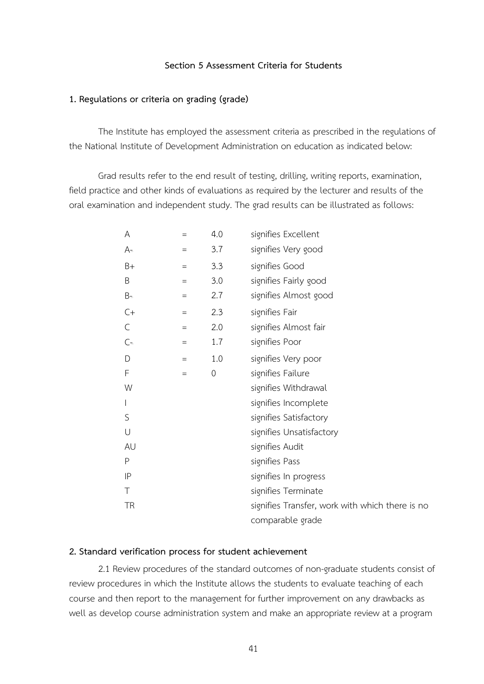### **Section 5 Assessment Criteria for Students**

### **1. Regulations or criteria on grading (grade)**

The Institute has employed the assessment criteria as prescribed in the regulations of the National Institute of Development Administration on education as indicated below:

Grad results refer to the end result of testing, drilling, writing reports, examination, field practice and other kinds of evaluations as required by the lecturer and results of the oral examination and independent study. The grad results can be illustrated as follows:

| A         | $=$               | 4.0         | signifies Excellent                             |
|-----------|-------------------|-------------|-------------------------------------------------|
| $A=$      | $=$               | 3.7         | signifies Very good                             |
| $B+$      | $=$               | 3.3         | signifies Good                                  |
| B         | $=$               | 3.0         | signifies Fairly good                           |
| $B =$     | $=$               | 2.7         | signifies Almost good                           |
| $C+$      | $=$               | 2.3         | signifies Fair                                  |
| C         | $\equiv$          | 2.0         | signifies Almost fair                           |
| $C =$     | $\qquad \qquad =$ | 1.7         | signifies Poor                                  |
| D         | $\equiv$          | 1.0         | signifies Very poor                             |
| F         | $\qquad \qquad =$ | $\mathbf 0$ | signifies Failure                               |
| W         |                   |             | signifies Withdrawal                            |
| I         |                   |             | signifies Incomplete                            |
| S         |                   |             | signifies Satisfactory                          |
| $\bigcup$ |                   |             | signifies Unsatisfactory                        |
| AU        |                   |             | signifies Audit                                 |
| P         |                   |             | signifies Pass                                  |
| IP        |                   |             | signifies In progress                           |
| Τ         |                   |             | signifies Terminate                             |
| TR        |                   |             | signifies Transfer, work with which there is no |
|           |                   |             | comparable grade                                |

### **2. Standard verification process for student achievement**

2.1 Review procedures of the standard outcomes of non-graduate students consist of review procedures in which the Institute allows the students to evaluate teaching of each course and then report to the management for further improvement on any drawbacks as well as develop course administration system and make an appropriate review at a program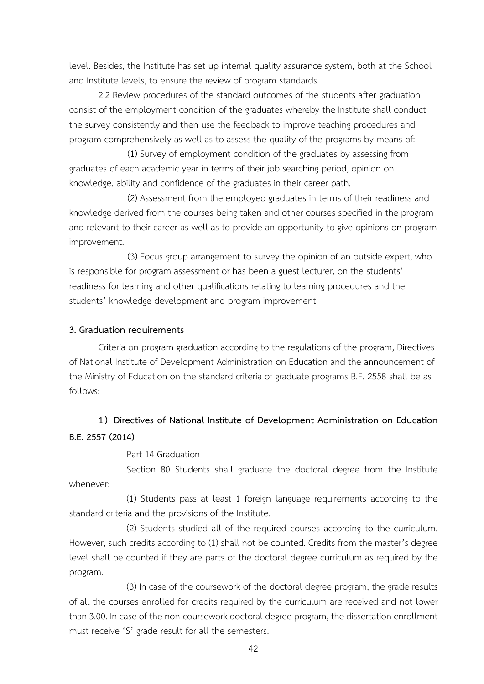level. Besides, the Institute has set up internal quality assurance system, both at the School and Institute levels, to ensure the review of program standards.

2.2 Review procedures of the standard outcomes of the students after graduation consist of the employment condition of the graduates whereby the Institute shall conduct the survey consistently and then use the feedback to improve teaching procedures and program comprehensively as well as to assess the quality of the programs by means of:

(1) Survey of employment condition of the graduates by assessing from graduates of each academic year in terms of their job searching period, opinion on knowledge, ability and confidence of the graduates in their career path.

(2) Assessment from the employed graduates in terms of their readiness and knowledge derived from the courses being taken and other courses specified in the program and relevant to their career as well as to provide an opportunity to give opinions on program improvement.

(3) Focus group arrangement to survey the opinion of an outside expert, who is responsible for program assessment or has been a guest lecturer, on the students' readiness for learning and other qualifications relating to learning procedures and the students' knowledge development and program improvement.

### **3. Graduation requirements**

Criteria on program graduation according to the regulations of the program, Directives of National Institute of Development Administration on Education and the announcement of the Ministry of Education on the standard criteria of graduate programs B.E. 2558 shall be as follows:

# **1) Directives of National Institute of Development Administration on Education B.E. 2557 (2014)**

Part 14 Graduation

Section 80 Students shall graduate the doctoral degree from the Institute whenever:

(1) Students pass at least 1 foreign language requirements according to the standard criteria and the provisions of the Institute.

(2) Students studied all of the required courses according to the curriculum. However, such credits according to (1) shall not be counted. Credits from the master's degree level shall be counted if they are parts of the doctoral degree curriculum as required by the program.

(3) In case of the coursework of the doctoral degree program, the grade results of all the courses enrolled for credits required by the curriculum are received and not lower than 3.00. In case of the non-coursework doctoral degree program, the dissertation enrollment must receive 'S' grade result for all the semesters.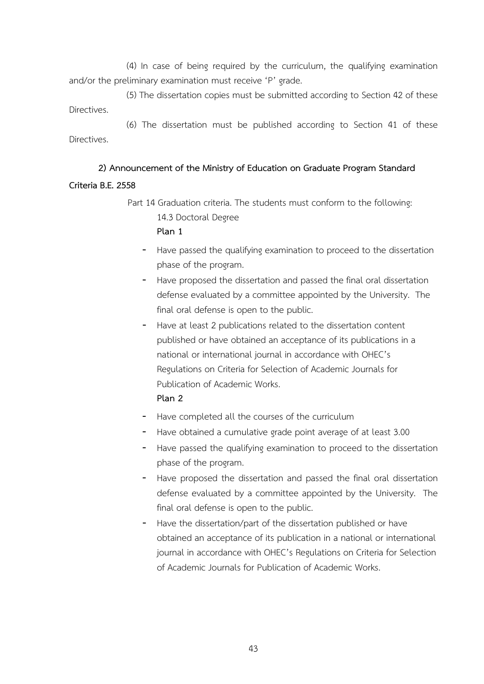(4) In case of being required by the curriculum, the qualifying examination and/or the preliminary examination must receive 'P' grade.

(5) The dissertation copies must be submitted according to Section 42 of these Directives.

(6) The dissertation must be published according to Section 41 of these Directives.

### **2) Announcement of the Ministry of Education on Graduate Program Standard**

### **Criteria B.E. 2558**

Part 14 Graduation criteria. The students must conform to the following: 14.3 Doctoral Degree **Plan 1** 

- Have passed the qualifying examination to proceed to the dissertation phase of the program.
- Have proposed the dissertation and passed the final oral dissertation defense evaluated by a committee appointed by the University. The final oral defense is open to the public.
- Have at least 2 publications related to the dissertation content published or have obtained an acceptance of its publications in a national or international journal in accordance with OHEC's Regulations on Criteria for Selection of Academic Journals for Publication of Academic Works. **Plan 2**
	-
- Have completed all the courses of the curriculum
- Have obtained a cumulative grade point average of at least 3.00
- Have passed the qualifying examination to proceed to the dissertation phase of the program.
- Have proposed the dissertation and passed the final oral dissertation defense evaluated by a committee appointed by the University. The final oral defense is open to the public.
- Have the dissertation/part of the dissertation published or have obtained an acceptance of its publication in a national or international journal in accordance with OHEC's Regulations on Criteria for Selection of Academic Journals for Publication of Academic Works.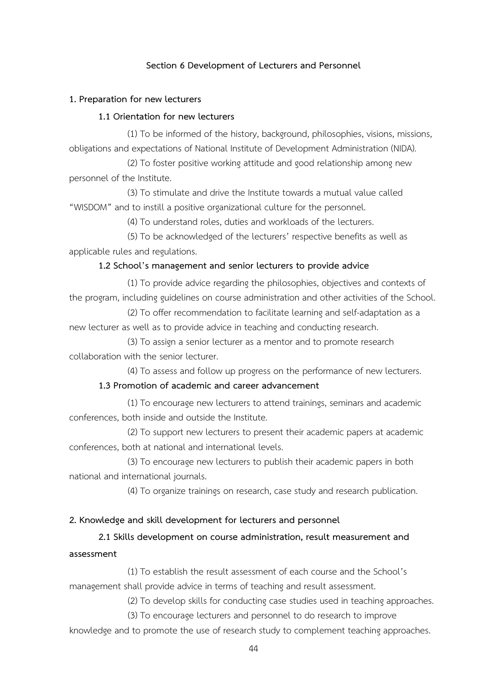### **Section 6 Development of Lecturers and Personnel**

### **1. Preparation for new lecturers**

### **1.1 Orientation for new lecturers**

(1) To be informed of the history, background, philosophies, visions, missions, obligations and expectations of National Institute of Development Administration (NIDA).

(2) To foster positive working attitude and good relationship among new personnel of the Institute.

(3) To stimulate and drive the Institute towards a mutual value called "WISDOM" and to instill a positive organizational culture for the personnel.

(4) To understand roles, duties and workloads of the lecturers.

(5) To be acknowledged of the lecturers' respective benefits as well as applicable rules and regulations.

### **1.2 School's management and senior lecturers to provide advice**

(1) To provide advice regarding the philosophies, objectives and contexts of the program, including guidelines on course administration and other activities of the School.

(2) To offer recommendation to facilitate learning and self-adaptation as a new lecturer as well as to provide advice in teaching and conducting research.

(3) To assign a senior lecturer as a mentor and to promote research collaboration with the senior lecturer.

(4) To assess and follow up progress on the performance of new lecturers.

### **1.3 Promotion of academic and career advancement**

(1) To encourage new lecturers to attend trainings, seminars and academic conferences, both inside and outside the Institute.

(2) To support new lecturers to present their academic papers at academic conferences, both at national and international levels.

(3) To encourage new lecturers to publish their academic papers in both national and international journals.

(4) To organize trainings on research, case study and research publication.

### **2. Knowledge and skill development for lecturers and personnel**

### **2.1 Skills development on course administration, result measurement and**

### **assessment**

(1) To establish the result assessment of each course and the School's management shall provide advice in terms of teaching and result assessment.

(2) To develop skills for conducting case studies used in teaching approaches.

(3) To encourage lecturers and personnel to do research to improve

knowledge and to promote the use of research study to complement teaching approaches.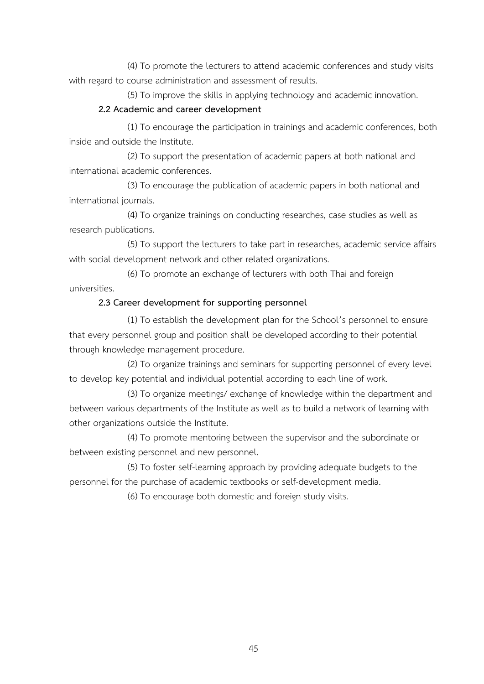(4) To promote the lecturers to attend academic conferences and study visits with regard to course administration and assessment of results.

(5) To improve the skills in applying technology and academic innovation.

### **2.2 Academic and career development**

(1) To encourage the participation in trainings and academic conferences, both inside and outside the Institute.

(2) To support the presentation of academic papers at both national and international academic conferences.

(3) To encourage the publication of academic papers in both national and international journals.

(4) To organize trainings on conducting researches, case studies as well as research publications.

(5) To support the lecturers to take part in researches, academic service affairs with social development network and other related organizations.

(6) To promote an exchange of lecturers with both Thai and foreign universities.

### **2.3 Career development for supporting personnel**

(1) To establish the development plan for the School's personnel to ensure that every personnel group and position shall be developed according to their potential through knowledge management procedure.

(2) To organize trainings and seminars for supporting personnel of every level to develop key potential and individual potential according to each line of work.

(3) To organize meetings/ exchange of knowledge within the department and between various departments of the Institute as well as to build a network of learning with other organizations outside the Institute.

(4) To promote mentoring between the supervisor and the subordinate or between existing personnel and new personnel.

(5) To foster self-learning approach by providing adequate budgets to the personnel for the purchase of academic textbooks or self-development media.

(6) To encourage both domestic and foreign study visits.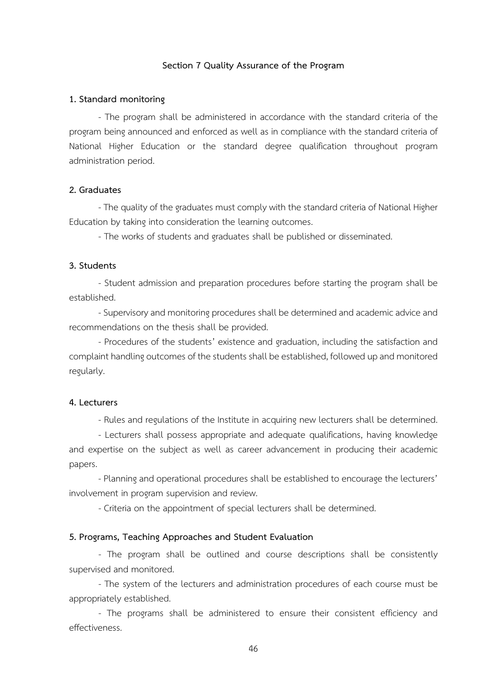### **Section 7 Quality Assurance of the Program**

### **1. Standard monitoring**

- The program shall be administered in accordance with the standard criteria of the program being announced and enforced as well as in compliance with the standard criteria of National Higher Education or the standard degree qualification throughout program administration period.

### **2. Graduates**

-The quality of the graduates must comply with the standard criteria of National Higher Education by taking into consideration the learning outcomes.

- The works of students and graduates shall be published or disseminated.

### **3. Students**

- Student admission and preparation procedures before starting the program shall be established.

-Supervisory and monitoring procedures shall be determined and academic advice and recommendations on the thesis shall be provided.

- Procedures of the students' existence and graduation, including the satisfaction and complaint handling outcomes of the students shall be established, followed up and monitored regularly.

### **4. Lecturers**

- Rules and regulations of the Institute in acquiring new lecturers shall be determined.

- Lecturers shall possess appropriate and adequate qualifications, having knowledge and expertise on the subject as well as career advancement in producing their academic papers.

- Planning and operational procedures shall be established to encourage the lecturers' involvement in program supervision and review.

- Criteria on the appointment of special lecturers shall be determined.

### **5. Programs, Teaching Approaches and Student Evaluation**

- The program shall be outlined and course descriptions shall be consistently supervised and monitored.

- The system of the lecturers and administration procedures of each course must be appropriately established.

- The programs shall be administered to ensure their consistent efficiency and effectiveness.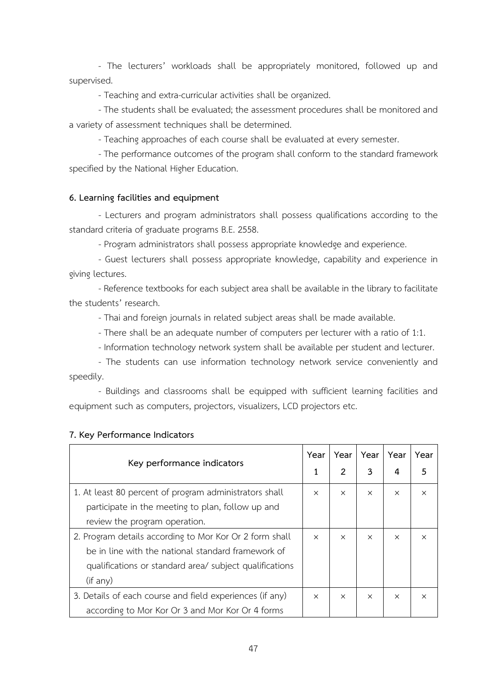- The lecturers' workloads shall be appropriately monitored, followed up and supervised.

- Teaching and extra-curricular activities shall be organized.

- The students shall be evaluated; the assessment procedures shall be monitored and a variety of assessment techniques shall be determined.

- Teaching approaches of each course shall be evaluated at every semester.

- The performance outcomes of the program shall conform to the standard framework specified by the National Higher Education.

### **6. Learning facilities and equipment**

- Lecturers and program administrators shall possess qualifications according to the standard criteria of graduate programs B.E. 2558.

- Program administrators shall possess appropriate knowledge and experience.

- Guest lecturers shall possess appropriate knowledge, capability and experience in giving lectures.

- Reference textbooks for each subject area shall be available in the library to facilitate the students' research.

- Thai and foreign journals in related subject areas shall be made available.

- There shall be an adequate number of computers per lecturer with a ratio of 1:1.

- Information technology network system shall be available per student and lecturer.

- The students can use information technology network service conveniently and speedily.

- Buildings and classrooms shall be equipped with sufficient learning facilities and equipment such as computers, projectors, visualizers, LCD projectors etc.

| Key performance indicators                               |  | Year           | Year     | Year     | Year     |
|----------------------------------------------------------|--|----------------|----------|----------|----------|
|                                                          |  | $\overline{2}$ | 3        | 4        | 5        |
| 1. At least 80 percent of program administrators shall   |  | $\times$       | $\times$ | $\times$ | $\times$ |
| participate in the meeting to plan, follow up and        |  |                |          |          |          |
| review the program operation.                            |  |                |          |          |          |
| 2. Program details according to Mor Kor Or 2 form shall  |  | $\times$       | $\times$ | $\times$ | $\times$ |
| be in line with the national standard framework of       |  |                |          |          |          |
| qualifications or standard area/ subject qualifications  |  |                |          |          |          |
| (if any)                                                 |  |                |          |          |          |
| 3. Details of each course and field experiences (if any) |  | $\times$       | $\times$ | $\times$ | $\times$ |
| according to Mor Kor Or 3 and Mor Kor Or 4 forms         |  |                |          |          |          |

### **7. Key Performance Indicators**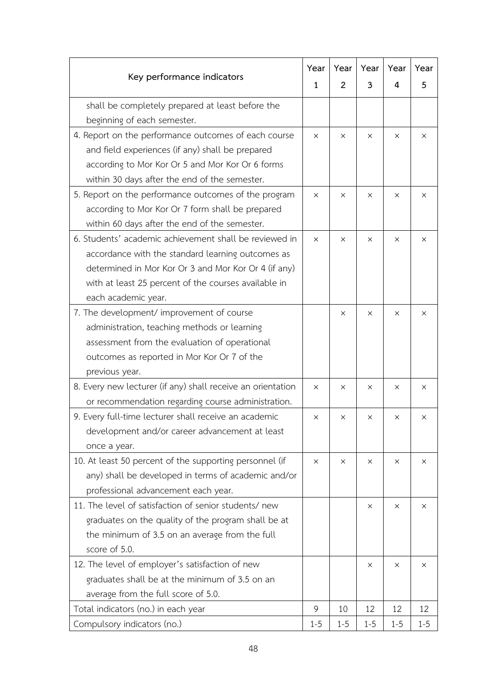| Key performance indicators                                  |          | Year           | Year     | Year     | Year    |
|-------------------------------------------------------------|----------|----------------|----------|----------|---------|
|                                                             |          | $\overline{2}$ | 3        | 4        | 5       |
| shall be completely prepared at least before the            |          |                |          |          |         |
| beginning of each semester.                                 |          |                |          |          |         |
| 4. Report on the performance outcomes of each course        | $\times$ | X              | $\times$ | X        | X       |
| and field experiences (if any) shall be prepared            |          |                |          |          |         |
| according to Mor Kor Or 5 and Mor Kor Or 6 forms            |          |                |          |          |         |
| within 30 days after the end of the semester.               |          |                |          |          |         |
| 5. Report on the performance outcomes of the program        | X        | $\times$       | X        | X        | X       |
| according to Mor Kor Or 7 form shall be prepared            |          |                |          |          |         |
| within 60 days after the end of the semester.               |          |                |          |          |         |
| 6. Students' academic achievement shall be reviewed in      | $\times$ | X              | $\times$ | X        | X       |
| accordance with the standard learning outcomes as           |          |                |          |          |         |
| determined in Mor Kor Or 3 and Mor Kor Or 4 (if any)        |          |                |          |          |         |
| with at least 25 percent of the courses available in        |          |                |          |          |         |
| each academic year.                                         |          |                |          |          |         |
| 7. The development/ improvement of course                   |          | X              | $\times$ | $\times$ | X       |
| administration, teaching methods or learning                |          |                |          |          |         |
| assessment from the evaluation of operational               |          |                |          |          |         |
| outcomes as reported in Mor Kor Or 7 of the                 |          |                |          |          |         |
| previous year.                                              |          |                |          |          |         |
| 8. Every new lecturer (if any) shall receive an orientation |          | $\times$       | $\times$ | $\times$ | X       |
| or recommendation regarding course administration.          |          |                |          |          |         |
| 9. Every full-time lecturer shall receive an academic       | X        | X              | ×        | X        | X       |
| development and/or career advancement at least              |          |                |          |          |         |
| once a year.                                                |          |                |          |          |         |
| 10. At least 50 percent of the supporting personnel (if     | $\times$ | X              | $\times$ | $\times$ | X       |
| any) shall be developed in terms of academic and/or         |          |                |          |          |         |
| professional advancement each year.                         |          |                |          |          |         |
| 11. The level of satisfaction of senior students/ new       |          |                | $\times$ | X        | X       |
| graduates on the quality of the program shall be at         |          |                |          |          |         |
| the minimum of 3.5 on an average from the full              |          |                |          |          |         |
| score of 5.0.                                               |          |                |          |          |         |
| 12. The level of employer's satisfaction of new             |          |                | $\times$ | ×        | X       |
| graduates shall be at the minimum of 3.5 on an              |          |                |          |          |         |
| average from the full score of 5.0.                         |          |                |          |          |         |
| Total indicators (no.) in each year                         | 9        | 10             | 12       | 12       | 12      |
| Compulsory indicators (no.)                                 |          | $1 - 5$        | $1 - 5$  | $1 - 5$  | $1 - 5$ |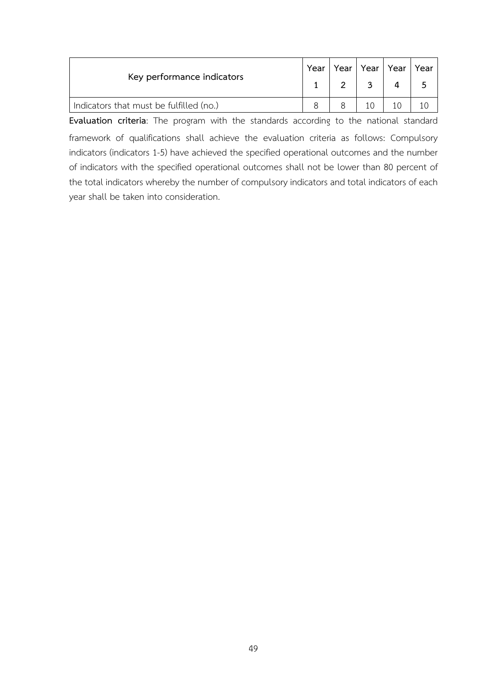| Key performance indicators              |  |  | Year   Year   Year | Year |
|-----------------------------------------|--|--|--------------------|------|
| Indicators that must be fulfilled (no.) |  |  |                    |      |

**Evaluation criteria**: The program with the standards according to the national standard framework of qualifications shall achieve the evaluation criteria as follows: Compulsory indicators (indicators 1-5) have achieved the specified operational outcomes and the number of indicators with the specified operational outcomes shall not be lower than 80 percent of the total indicators whereby the number of compulsory indicators and total indicators of each year shall be taken into consideration.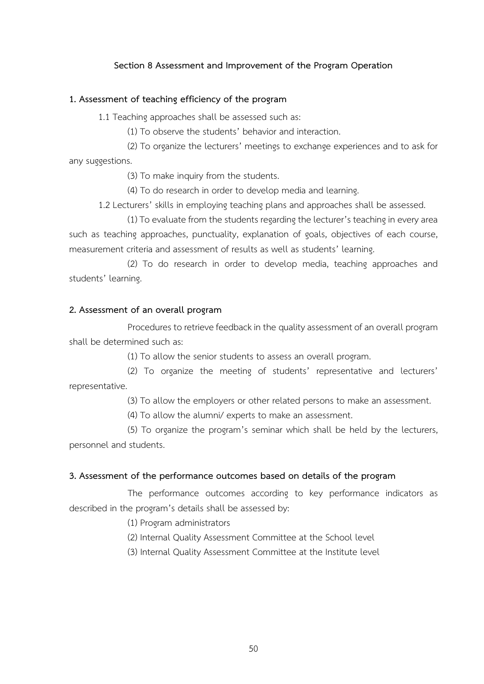### **Section 8 Assessment and Improvement of the Program Operation**

### **1. Assessment of teaching efficiency of the program**

1.1 Teaching approaches shall be assessed such as:

(1) To observe the students' behavior and interaction.

(2) To organize the lecturers' meetings to exchange experiences and to ask for any suggestions.

(3) To make inquiry from the students.

(4) To do research in order to develop media and learning.

1.2 Lecturers' skills in employing teaching plans and approaches shall be assessed.

(1) To evaluate from the students regarding the lecturer's teaching in every area such as teaching approaches, punctuality, explanation of goals, objectives of each course, measurement criteria and assessment of results as well as students' learning.

(2) To do research in order to develop media, teaching approaches and students' learning.

### **2. Assessment of an overall program**

Procedures to retrieve feedback in the quality assessment of an overall program shall be determined such as:

(1) To allow the senior students to assess an overall program.

(2) To organize the meeting of students' representative and lecturers' representative.

(3) To allow the employers or other related persons to make an assessment.

(4) To allow the alumni/ experts to make an assessment.

(5) To organize the program's seminar which shall be held by the lecturers, personnel and students.

### **3. Assessment of the performance outcomes based on details of the program**

The performance outcomes according to key performance indicators as described in the program's details shall be assessed by:

(1) Program administrators

(2) Internal Quality Assessment Committee at the School level

(3) Internal Quality Assessment Committee at the Institute level